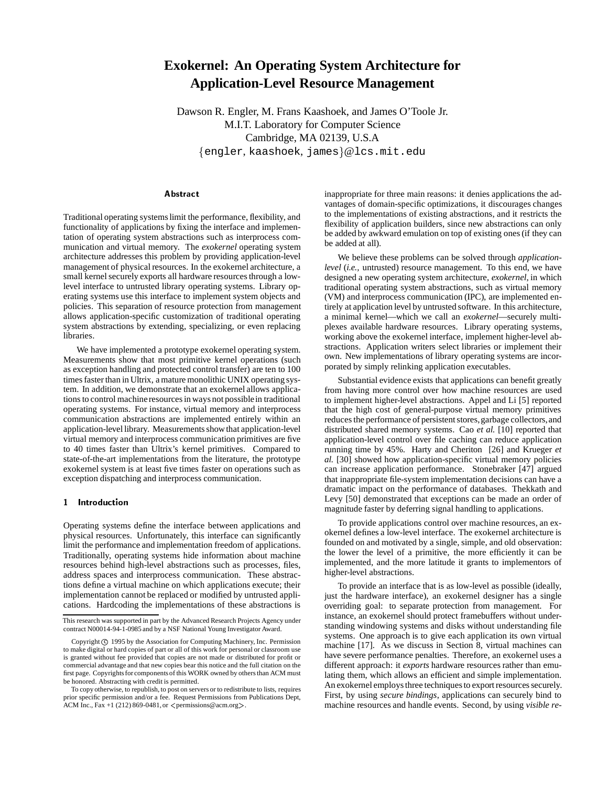# **Exokernel: An Operating System Architecture for Application-Level Resource Management**

Dawson R. Engler, M. Frans Kaashoek, and James O'Toole Jr. M.I.T. Laboratory for Computer Science Cambridge, MA 02139, U.S.A  $\{ {\rm engler}, {\rm kaashoek}, {\rm james} \} @ lcs {\tt .mit.edu}$ 

#### -

Traditional operating systemslimit the performance, flexibility, and functionality of applications by fixing the interface and implementation of operating system abstractions such as interprocess communication and virtual memory. The *exokernel* operating system architecture addresses this problem by providing application-level management of physical resources. In the exokernel architecture, a small kernel securely exports all hardware resources through a lowlevel interface to untrusted library operating systems. Library operating systems use this interface to implement system objects and policies. This separation of resource protection from management allows application-specific customization of traditional operating system abstractions by extending, specializing, or even replacing libraries.

We have implemented a prototype exokernel operating system. Measurements show that most primitive kernel operations (such as exception handling and protected control transfer) are ten to 100 times faster than in Ultrix, a mature monolithic UNIX operating system. In addition, we demonstrate that an exokernel allows applications to control machine resources in ways not possible in traditional operating systems. For instance, virtual memory and interprocess communication abstractions are implemented entirely within an application-level library. Measurementsshowthat application-level virtual memory and interprocess communication primitives are five to 40 times faster than Ultrix's kernel primitives. Compared to state-of-the-art implementations from the literature, the prototype exokernel system is at least five times faster on operations such as exception dispatching and interprocess communication.

# 1 Introduction

Operating systems define the interface between applications and physical resources. Unfortunately, this interface can significantly limit the performance and implementation freedom of applications. Traditionally, operating systems hide information about machine resources behind high-level abstractions such as processes, files, address spaces and interprocess communication. These abstractions define a virtual machine on which applications execute; their implementation cannot be replaced or modified by untrusted applications. Hardcoding the implementations of these abstractions is inappropriate for three main reasons: it denies applications the advantages of domain-specific optimizations, it discourages changes to the implementations of existing abstractions, and it restricts the flexibility of application builders, since new abstractions can only be added by awkward emulation on top of existing ones(if they can be added at all).

We believe these problems can be solved through *applicationlevel* (*i.e.,* untrusted) resource management. To this end, we have designed a new operating system architecture, *exokernel*, in which traditional operating system abstractions, such as virtual memory (VM) and interprocess communication (IPC), are implemented entirely at application level by untrusted software. In this architecture, a minimal kernel—which we call an *exokernel*—securely multiplexes available hardware resources. Library operating systems, working above the exokernel interface, implement higher-level abstractions. Application writers select libraries or implement their own. New implementations of library operating systems are incorporated by simply relinking application executables.

Substantial evidence exists that applications can benefit greatly from having more control over how machine resources are used to implement higher-level abstractions. Appel and Li [5] reported that the high cost of general-purpose virtual memory primitives reduces the performance of persistent stores, garbage collectors, and distributed shared memory systems. Cao *et al.* [10] reported that application-level control over file caching can reduce application running time by 45%. Harty and Cheriton [26] and Krueger *et al.* [30] showed how application-specific virtual memory policies can increase application performance. Stonebraker [47] argued that inappropriate file-system implementation decisions can have a dramatic impact on the performance of databases. Thekkath and Levy [50] demonstrated that exceptions can be made an order of magnitude faster by deferring signal handling to applications.

To provide applications control over machine resources, an exokernel defines a low-level interface. The exokernel architecture is founded on and motivated by a single, simple, and old observation: the lower the level of a primitive, the more efficiently it can be implemented, and the more latitude it grants to implementors of higher-level abstractions.

To provide an interface that is as low-level as possible (ideally, just the hardware interface), an exokernel designer has a single overriding goal: to separate protection from management. For instance, an exokernel should protect framebuffers without understanding windowing systems and disks without understanding file systems. One approach is to give each application its own virtual machine [17]. As we discuss in Section 8, virtual machines can have severe performance penalties. Therefore, an exokernel uses a different approach: it *exports* hardware resources rather than emulating them, which allows an efficient and simple implementation. An exokernel employs three techniques to export resources securely. First, by using *secure bindings*, applications can securely bind to machine resources and handle events. Second, by using *visible re-*

This research was supported in part by the Advanced Research Projects Agency under contract N00014-94-1-0985 and by a NSF National Young Investigator Award.

Copyright  $\circledcirc$  1995 by the Association for Computing Machinery, Inc. Permission to make digital or hard copies of part or all of this work for personal or classroom use is granted without fee provided that copies are not made or distributed for profit or commercial advantage and that new copies bear this notice and the full citation on the first page. Copyrights for components of this WORK owned by others than ACM must be honored. Abstracting with credit is permitted.

To copy otherwise, to republish, to post on servers or to redistribute to lists, requires prior specific permission and/or a fee. Request Permissions from Publications Dept, ACM Inc., Fax +1 (212) 869-0481, or  $\langle$  permissions@acm.org  $\rangle$ .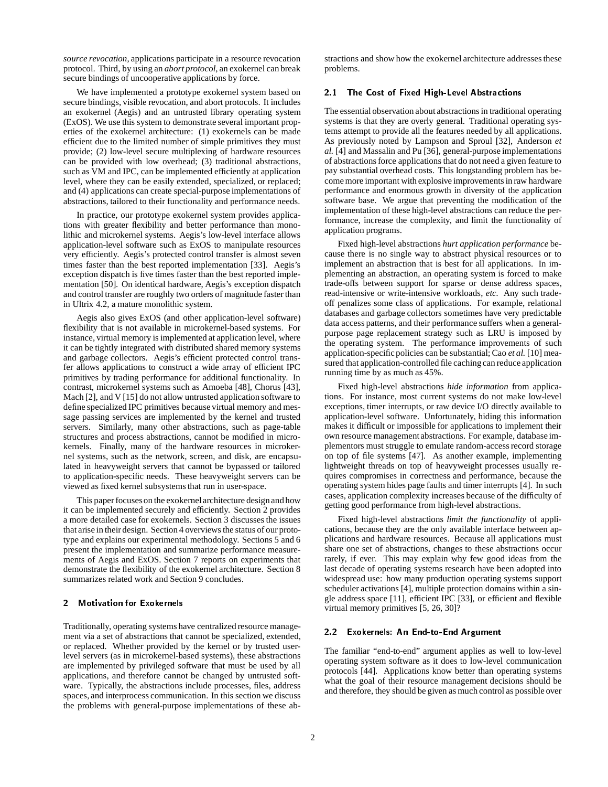*source revocation*, applications participate in a resource revocation protocol. Third, by using an *abort protocol*, an exokernel can break secure bindings of uncooperative applications by force.

We have implemented a prototype exokernel system based on secure bindings, visible revocation, and abort protocols. It includes an exokernel (Aegis) and an untrusted library operating system (ExOS). We use this system to demonstrate several important properties of the exokernel architecture: (1) exokernels can be made efficient due to the limited number of simple primitives they must provide; (2) low-level secure multiplexing of hardware resources can be provided with low overhead; (3) traditional abstractions, such as VM and IPC, can be implemented efficiently at application level, where they can be easily extended, specialized, or replaced; and (4) applications can create special-purpose implementations of abstractions, tailored to their functionality and performance needs.

In practice, our prototype exokernel system provides applications with greater flexibility and better performance than monolithic and microkernel systems. Aegis's low-level interface allows application-level software such as ExOS to manipulate resources very efficiently. Aegis's protected control transfer is almost seven times faster than the best reported implementation [33]. Aegis's exception dispatch is five times faster than the best reported implementation [50]. On identical hardware, Aegis's exception dispatch and control transfer are roughly two orders of magnitude faster than in Ultrix 4.2, a mature monolithic system.

Aegis also gives ExOS (and other application-level software) flexibility that is not available in microkernel-based systems. For instance, virtual memory is implemented at application level, where it can be tightly integrated with distributed shared memory systems and garbage collectors. Aegis's efficient protected control transfer allows applications to construct a wide array of efficient IPC primitives by trading performance for additional functionality. In contrast, microkernel systems such as Amoeba [48], Chorus [43], Mach [2], and V [15] do not allow untrusted application software to define specialized IPC primitives because virtual memory and message passing services are implemented by the kernel and trusted servers. Similarly, many other abstractions, such as page-table structures and process abstractions, cannot be modified in microkernels. Finally, many of the hardware resources in microkernel systems, such as the network, screen, and disk, are encapsulated in heavyweight servers that cannot be bypassed or tailored to application-specific needs. These heavyweight servers can be viewed as fixed kernel subsystemsthat run in user-space.

This paper focuseson the exokernel architecture design and how it can be implemented securely and efficiently. Section 2 provides a more detailed case for exokernels. Section 3 discussesthe issues that arise in their design. Section 4 overviews the status of our prototype and explains our experimental methodology. Sections 5 and 6 present the implementation and summarize performance measurements of Aegis and ExOS. Section 7 reports on experiments that demonstrate the flexibility of the exokernel architecture. Section 8 summarizes related work and Section 9 concludes.

# . .. . . . . . .

Traditionally, operating systems have centralized resource management via a set of abstractions that cannot be specialized, extended, or replaced. Whether provided by the kernel or by trusted userlevel servers (as in microkernel-based systems), these abstractions are implemented by privileged software that must be used by all applications, and therefore cannot be changed by untrusted software. Typically, the abstractions include processes, files, address spaces, and interprocess communication. In this section we discuss the problems with general-purpose implementations of these abstractions and show how the exokernel architecture addressesthese problems.

#### "!-#\$ -

The essential observation about abstractionsin traditional operating systems is that they are overly general. Traditional operating systems attempt to provide all the features needed by all applications. As previously noted by Lampson and Sproul [32], Anderson *et al.* [4] and Massalin and Pu [36], general-purpose implementations of abstractions force applications that do not need a given feature to pay substantial overhead costs. This longstanding problem has become more important with explosive improvements in raw hardware performance and enormous growth in diversity of the application software base. We argue that preventing the modification of the implementation of these high-level abstractions can reduce the performance, increase the complexity, and limit the functionality of application programs.

Fixed high-level abstractions *hurt application performance* because there is no single way to abstract physical resources or to implement an abstraction that is best for all applications. In implementing an abstraction, an operating system is forced to make trade-offs between support for sparse or dense address spaces, read-intensive or write-intensive workloads, *etc.* Any such tradeoff penalizes some class of applications. For example, relational databases and garbage collectors sometimes have very predictable data access patterns, and their performance suffers when a generalpurpose page replacement strategy such as LRU is imposed by the operating system. The performance improvements of such application-specific policies can be substantial; Cao *et al.* [10] measured that application-controlled file caching can reduce application running time by as much as 45%.

Fixed high-level abstractions *hide information* from applications. For instance, most current systems do not make low-level exceptions, timer interrupts, or raw device I/O directly available to application-level software. Unfortunately, hiding this information makes it difficult or impossible for applications to implement their own resource management abstractions. For example, database implementors must struggle to emulate random-accessrecord storage on top of file systems [47]. As another example, implementing lightweight threads on top of heavyweight processes usually requires compromises in correctness and performance, because the operating system hides page faults and timer interrupts [4]. In such cases, application complexity increases because of the difficulty of getting good performance from high-level abstractions.

Fixed high-level abstractions *limit the functionality* of applications, because they are the only available interface between applications and hardware resources. Because all applications must share one set of abstractions, changes to these abstractions occur rarely, if ever. This may explain why few good ideas from the last decade of operating systems research have been adopted into widespread use: how many production operating systems support scheduler activations [4], multiple protection domains within a single address space [11], efficient IPC [33], or efficient and flexible virtual memory primitives [5, 26, 30]?

#### $\blacksquare$  . The set of the set of the set of the set of the set of the set of the set of the set of the set of the set of the set of the set of the set of the set of the set of the set of the set of the set of the set of the

The familiar "end-to-end" argument applies as well to low-level operating system software as it does to low-level communication protocols [44]. Applications know better than operating systems what the goal of their resource management decisions should be and therefore, they should be given as much control as possible over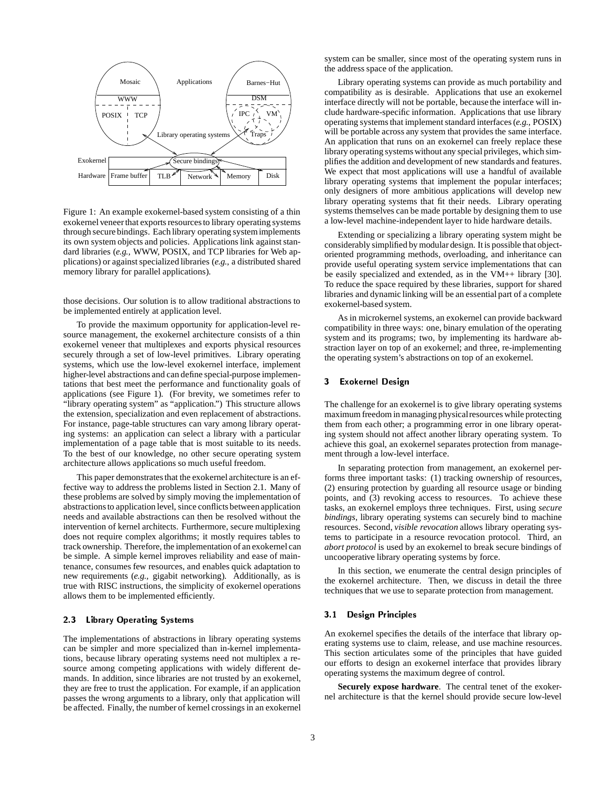

Figure 1: An example exokernel-based system consisting of a thin exokernel veneer that exports resources to library operating systems through secure bindings. Each library operating systemimplements its own system objects and policies. Applications link against standard libraries (*e.g.,* WWW, POSIX, and TCP libraries for Web applications) or against specialized libraries (e.g., a distributed shared memory library for parallel applications).

those decisions. Our solution is to allow traditional abstractions to be implemented entirely at application level.

To provide the maximum opportunity for application-level resource management, the exokernel architecture consists of a thin exokernel veneer that multiplexes and exports physical resources securely through a set of low-level primitives. Library operating systems, which use the low-level exokernel interface, implement higher-level abstractions and can define special-purpose implementations that best meet the performance and functionality goals of applications (see Figure 1). (For brevity, we sometimes refer to "library operating system" as "application.") This structure allows the extension, specialization and even replacement of abstractions. For instance, page-table structures can vary among library operating systems: an application can select a library with a particular implementation of a page table that is most suitable to its needs. To the best of our knowledge, no other secure operating system architecture allows applications so much useful freedom.

This paper demonstrates that the exokernel architecture is an effective way to address the problems listed in Section 2.1. Many of these problems are solved by simply moving the implementation of abstractionsto application level, since conflicts between application needs and available abstractions can then be resolved without the intervention of kernel architects. Furthermore, secure multiplexing does not require complex algorithms; it mostly requires tables to track ownership. Therefore, the implementation of an exokernel can be simple. A simple kernel improves reliability and ease of maintenance, consumes few resources, and enables quick adaptation to new requirements (*e.g.,* gigabit networking). Additionally, as is true with RISC instructions, the simplicity of exokernel operations allows them to be implemented efficiently.

#### $\blacksquare$  . The contract of the contract of the contract of the contract of the contract of the contract of the contract of the contract of the contract of the contract of the contract of the contract of the contract of the

The implementations of abstractions in library operating systems can be simpler and more specialized than in-kernel implementations, because library operating systems need not multiplex a resource among competing applications with widely different demands. In addition, since libraries are not trusted by an exokernel, they are free to trust the application. For example, if an application passes the wrong arguments to a library, only that application will be affected. Finally, the number of kernel crossings in an exokernel system can be smaller, since most of the operating system runs in the address space of the application.

Library operating systems can provide as much portability and compatibility as is desirable. Applications that use an exokernel interface directly will not be portable, because the interface will include hardware-specific information. Applications that use library operating systems that implement standard interfaces (*e.g.,* POSIX) will be portable across any system that provides the same interface. An application that runs on an exokernel can freely replace these library operating systemswithout any special privileges, which simplifies the addition and development of new standards and features. We expect that most applications will use a handful of available library operating systems that implement the popular interfaces; only designers of more ambitious applications will develop new library operating systems that fit their needs. Library operating systems themselves can be made portable by designing them to use a low-level machine-independent layer to hide hardware details.

Extending or specializing a library operating system might be considerably simplified by modular design. It is possible that objectoriented programming methods, overloading, and inheritance can provide useful operating system service implementations that can be easily specialized and extended, as in the VM++ library [30]. To reduce the space required by these libraries, support for shared libraries and dynamic linking will be an essential part of a complete exokernel-based system.

As in microkernel systems, an exokernel can provide backward compatibility in three ways: one, binary emulation of the operating system and its programs; two, by implementing its hardware abstraction layer on top of an exokernel; and three, re-implementing the operating system's abstractions on top of an exokernel.

#### $\bullet$  . The set of the set of the set of the set of the set of the set of the set of the set of the set of the set of the set of the set of the set of the set of the set of the set of the set of the set of the set of the s

The challenge for an exokernel is to give library operating systems maximum freedom in managing physicalresourceswhile protecting them from each other; a programming error in one library operating system should not affect another library operating system. To achieve this goal, an exokernel separates protection from management through a low-level interface.

In separating protection from management, an exokernel performs three important tasks: (1) tracking ownership of resources, (2) ensuring protection by guarding all resource usage or binding points, and (3) revoking access to resources. To achieve these tasks, an exokernel employs three techniques. First, using *secure bindings*, library operating systems can securely bind to machine resources. Second, *visible revocation* allows library operating systems to participate in a resource revocation protocol. Third, an *abort protocol* is used by an exokernel to break secure bindings of uncooperative library operating systems by force.

In this section, we enumerate the central design principles of the exokernel architecture. Then, we discuss in detail the three techniques that we use to separate protection from management.

#### $3.1$ **Design Principles**

An exokernel specifies the details of the interface that library operating systems use to claim, release, and use machine resources. This section articulates some of the principles that have guided our efforts to design an exokernel interface that provides library operating systems the maximum degree of control.

**Securely expose hardware**. The central tenet of the exokernel architecture is that the kernel should provide secure low-level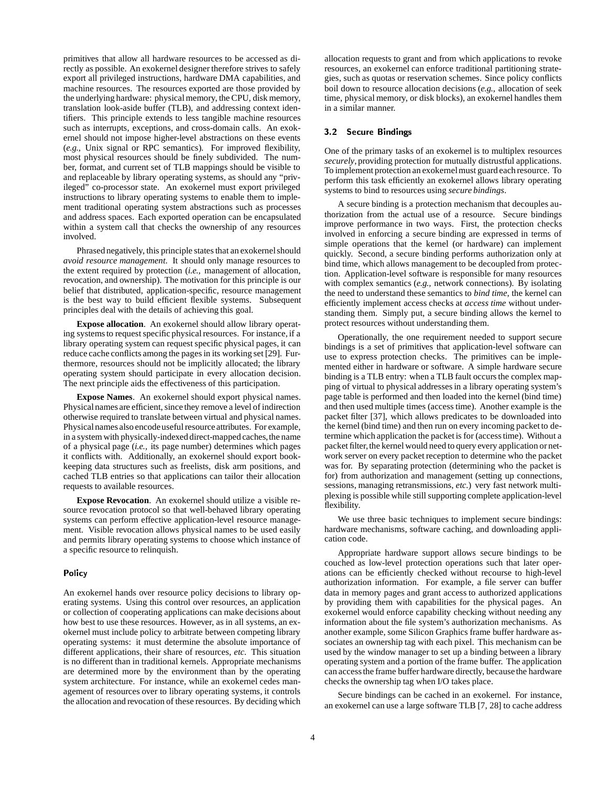primitives that allow all hardware resources to be accessed as directly as possible. An exokernel designer therefore strives to safely export all privileged instructions, hardware DMA capabilities, and machine resources. The resources exported are those provided by the underlying hardware: physical memory, theCPU, disk memory, translation look-aside buffer (TLB), and addressing context identifiers. This principle extends to less tangible machine resources such as interrupts, exceptions, and cross-domain calls. An exokernel should not impose higher-level abstractions on these events (*e.g.,* Unix signal or RPC semantics). For improved flexibility, most physical resources should be finely subdivided. The number, format, and current set of TLB mappings should be visible to and replaceable by library operating systems, as should any "privileged" co-processor state. An exokernel must export privileged instructions to library operating systems to enable them to implement traditional operating system abstractions such as processes and address spaces. Each exported operation can be encapsulated within a system call that checks the ownership of any resources involved.

Phrased negatively, this principle states that an exokernel should *avoid resource management*. It should only manage resources to the extent required by protection (*i.e.,* management of allocation, revocation, and ownership). The motivation for this principle is our belief that distributed, application-specific, resource management is the best way to build efficient flexible systems. Subsequent principles deal with the details of achieving this goal.

**Expose allocation**. An exokernel should allow library operating systems to request specific physical resources. For instance, if a library operating system can request specific physical pages, it can reduce cache conflicts among the pagesin its working set [29]. Furthermore, resources should not be implicitly allocated; the library operating system should participate in every allocation decision. The next principle aids the effectiveness of this participation.

**Expose Names**. An exokernel should export physical names. Physical names are efficient, since they remove a level of indirection otherwise required to translate between virtual and physical names. Physical names also encodeuseful resourceattributes. For example, in a system with physically-indexed direct-mapped caches, the name of a physical page (*i.e.,* its page number) determines which pages it conflicts with. Additionally, an exokernel should export bookkeeping data structures such as freelists, disk arm positions, and cached TLB entries so that applications can tailor their allocation requests to available resources.

**Expose Revocation**. An exokernel should utilize a visible resource revocation protocol so that well-behaved library operating systems can perform effective application-level resource management. Visible revocation allows physical names to be used easily and permits library operating systems to choose which instance of a specific resource to relinquish.

# Policy

An exokernel hands over resource policy decisions to library operating systems. Using this control over resources, an application or collection of cooperating applications can make decisions about how best to use these resources. However, as in all systems, an exokernel must include policy to arbitrate between competing library operating systems: it must determine the absolute importance of different applications, their share of resources, *etc.* This situation is no different than in traditional kernels. Appropriate mechanisms are determined more by the environment than by the operating system architecture. For instance, while an exokernel cedes management of resources over to library operating systems, it controls the allocation and revocation of these resources. By deciding which allocation requests to grant and from which applications to revoke resources, an exokernel can enforce traditional partitioning strategies, such as quotas or reservation schemes. Since policy conflicts boil down to resource allocation decisions (*e.g.,* allocation of seek time, physical memory, or disk blocks), an exokernel handles them in a similar manner.

# 3.2 Secure Bindings

One of the primary tasks of an exokernel is to multiplex resources *securely*, providing protection for mutually distrustful applications. To implement protection an exokernelmust guard each resource. To perform this task efficiently an exokernel allows library operating systems to bind to resources using *secure bindings*.

A secure binding is a protection mechanism that decouples authorization from the actual use of a resource. Secure bindings improve performance in two ways. First, the protection checks involved in enforcing a secure binding are expressed in terms of simple operations that the kernel (or hardware) can implement quickly. Second, a secure binding performs authorization only at bind time, which allows management to be decoupled from protection. Application-level software is responsible for many resources with complex semantics (*e.g.,* network connections). By isolating the need to understand these semantics to *bind time*, the kernel can efficiently implement access checks at *access time* without understanding them. Simply put, a secure binding allows the kernel to protect resources without understanding them.

Operationally, the one requirement needed to support secure bindings is a set of primitives that application-level software can use to express protection checks. The primitives can be implemented either in hardware or software. A simple hardware secure binding is a TLB entry: when a TLB fault occurs the complex mapping of virtual to physical addressesin a library operating system's page table is performed and then loaded into the kernel (bind time) and then used multiple times (accesstime). Another example is the packet filter [37], which allows predicates to be downloaded into the kernel (bind time) and then run on every incoming packet to determine which application the packet is for (access time). Without a packet filter, the kernel would need to query every application or network server on every packet reception to determine who the packet was for. By separating protection (determining who the packet is for) from authorization and management (setting up connections, sessions, managing retransmissions, *etc.*) very fast network multiplexing is possible while still supporting complete application-level flexibility.

We use three basic techniques to implement secure bindings: hardware mechanisms, software caching, and downloading application code.

Appropriate hardware support allows secure bindings to be couched as low-level protection operations such that later operations can be efficiently checked without recourse to high-level authorization information. For example, a file server can buffer data in memory pages and grant access to authorized applications by providing them with capabilities for the physical pages. An exokernel would enforce capability checking without needing any information about the file system's authorization mechanisms. As another example, some Silicon Graphics frame buffer hardware associates an ownership tag with each pixel. This mechanism can be used by the window manager to set up a binding between a library operating system and a portion of the frame buffer. The application can accessthe frame buffer hardware directly, becausethe hardware checksthe ownership tag when I/O takes place.

Secure bindings can be cached in an exokernel. For instance, an exokernel can use a large software TLB [7, 28] to cache address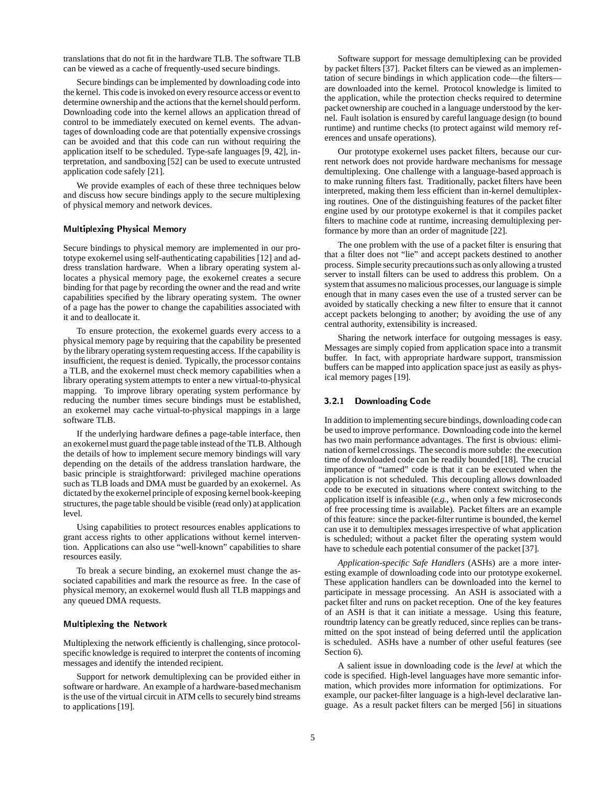translations that do not fit in the hardware TLB. The software TLB can be viewed as a cache of frequently-used secure bindings.

Secure bindings can be implemented by downloading code into the kernel. This code is invoked on every resource access or event to determine ownership and the actions that the kernel should perform. Downloading code into the kernel allows an application thread of control to be immediately executed on kernel events. The advantages of downloading code are that potentially expensive crossings can be avoided and that this code can run without requiring the application itself to be scheduled. Type-safe languages[9, 42], interpretation, and sandboxing [52] can be used to execute untrusted application code safely [21].

We provide examples of each of these three techniques below and discuss how secure bindings apply to the secure multiplexing of physical memory and network devices.

## $\blacksquare$  . The state of the state of the state of the state of the state of the state of the state of the state of the state of the state of the state of the state of the state of the state of the state of the state of the

Secure bindings to physical memory are implemented in our prototype exokernel using self-authenticating capabilities [12] and address translation hardware. When a library operating system allocates a physical memory page, the exokernel creates a secure binding for that page by recording the owner and the read and write capabilities specified by the library operating system. The owner of a page has the power to change the capabilities associated with it and to deallocate it.

To ensure protection, the exokernel guards every access to a physical memory page by requiring that the capability be presented by the library operating system requesting access. If the capability is insufficient, the request is denied. Typically, the processor contains a TLB, and the exokernel must check memory capabilities when a library operating system attempts to enter a new virtual-to-physical mapping. To improve library operating system performance by reducing the number times secure bindings must be established, an exokernel may cache virtual-to-physical mappings in a large software TLB.

If the underlying hardware defines a page-table interface, then an exokernel must guard the page table instead of the TLB. Although the details of how to implement secure memory bindings will vary depending on the details of the address translation hardware, the basic principle is straightforward: privileged machine operations such as TLB loads and DMA must be guarded by an exokernel. As dictated by the exokernel principle of exposing kernel book-keeping structures, the page table should be visible (read only) at application level.

Using capabilities to protect resources enables applications to grant access rights to other applications without kernel intervention. Applications can also use "well-known" capabilities to share resources easily.

To break a secure binding, an exokernel must change the associated capabilities and mark the resource as free. In the case of physical memory, an exokernel would flush all TLB mappings and any queued DMA requests.

#### $\blacksquare$  . The set of the set of the set of the set of the set of the set of the set of the set of the set of the set of the set of the set of the set of the set of the set of the set of the set of the set of the set of the

Multiplexing the network efficiently is challenging, since protocolspecific knowledge is required to interpret the contents of incoming messages and identify the intended recipient.

Support for network demultiplexing can be provided either in software or hardware. An example of a hardware-basedmechanism is the use of the virtual circuit in ATM cells to securely bind streams to applications[19].

Software support for message demultiplexing can be provided by packet filters [37]. Packet filters can be viewed as an implementation of secure bindings in which application code—the filters are downloaded into the kernel. Protocol knowledge is limited to the application, while the protection checks required to determine packet ownership are couched in a language understood by the kernel. Fault isolation is ensured by careful language design (to bound runtime) and runtime checks (to protect against wild memory references and unsafe operations).

Our prototype exokernel uses packet filters, because our current network does not provide hardware mechanisms for message demultiplexing. One challenge with a language-based approach is to make running filters fast. Traditionally, packet filters have been interpreted, making them less efficient than in-kernel demultiplexing routines. One of the distinguishing features of the packet filter engine used by our prototype exokernel is that it compiles packet filters to machine code at runtime, increasing demultiplexing performance by more than an order of magnitude [22].

The one problem with the use of a packet filter is ensuring that that a filter does not "lie" and accept packets destined to another process. Simple security precautionssuch as only allowing a trusted server to install filters can be used to address this problem. On a system that assumes no malicious processes, our language is simple enough that in many cases even the use of a trusted server can be avoided by statically checking a new filter to ensure that it cannot accept packets belonging to another; by avoiding the use of any central authority, extensibility is increased.

Sharing the network interface for outgoing messages is easy. Messages are simply copied from application space into a transmit buffer. In fact, with appropriate hardware support, transmission buffers can be mapped into application space just as easily as physical memory pages [19].

# -% \$

In addition to implementing secure bindings, downloading code can be used to improve performance. Downloading code into the kernel has two main performance advantages. The first is obvious: elimination of kernel crossings. The secondis more subtle: the execution time of downloaded code can be readily bounded [18]. The crucial importance of "tamed" code is that it can be executed when the application is not scheduled. This decoupling allows downloaded code to be executed in situations where context switching to the application itself is infeasible (*e.g.,* when only a few microseconds of free processing time is available). Packet filters are an example of thisfeature: since the packet-filter runtime is bounded, the kernel can use it to demultiplex messagesirrespective of what application is scheduled; without a packet filter the operating system would have to schedule each potential consumer of the packet [37].

*Application-specific Safe Handlers* (ASHs) are a more interesting example of downloading code into our prototype exokernel. These application handlers can be downloaded into the kernel to participate in message processing. An ASH is associated with a packet filter and runs on packet reception. One of the key features of an ASH is that it can initiate a message. Using this feature, roundtrip latency can be greatly reduced, since replies can be transmitted on the spot instead of being deferred until the application is scheduled. ASHs have a number of other useful features (see Section 6).

A salient issue in downloading code is the *level* at which the code is specified. High-level languages have more semantic information, which provides more information for optimizations. For example, our packet-filter language is a high-level declarative language. As a result packet filters can be merged [56] in situations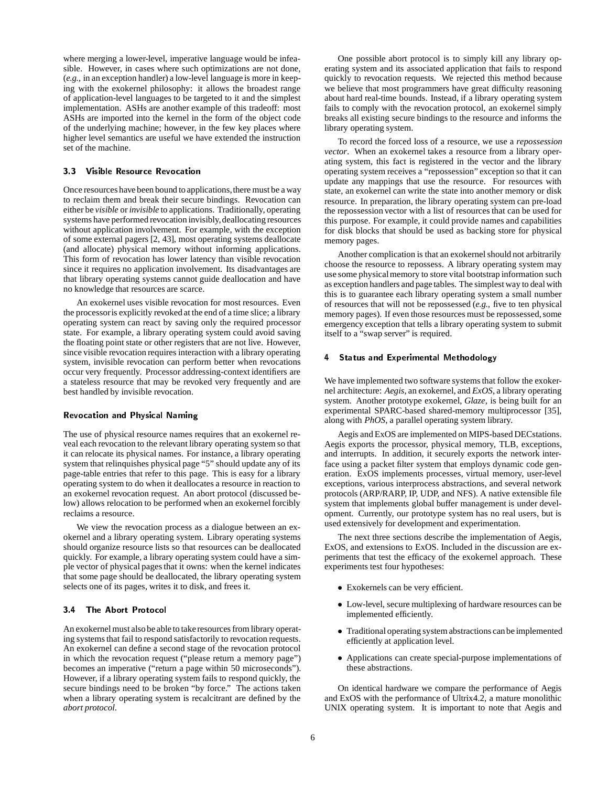where merging a lower-level, imperative language would be infeasible. However, in cases where such optimizations are not done, (*e.g.,* in an exception handler) a low-level language is more in keeping with the exokernel philosophy: it allows the broadest range of application-level languages to be targeted to it and the simplest implementation. ASHs are another example of this tradeoff: most ASHs are imported into the kernel in the form of the object code of the underlying machine; however, in the few key places where higher level semantics are useful we have extended the instruction set of the machine.

# $\blacksquare$  . And the second contract of the second contract of the second contract of the second contract of the second contract of the second contract of the second contract of the second contract of the second contract of t

Once resources have been bound to applications, there must be a way to reclaim them and break their secure bindings. Revocation can either be *visible* or *invisible* to applications. Traditionally, operating systems have performed revocation invisibly,deallocating resources without application involvement. For example, with the exception of some external pagers [2, 43], most operating systems deallocate (and allocate) physical memory without informing applications. This form of revocation has lower latency than visible revocation since it requires no application involvement. Its disadvantages are that library operating systems cannot guide deallocation and have no knowledge that resources are scarce.

An exokernel uses visible revocation for most resources. Even the processoris explicitly revoked at the end of a time slice; a library operating system can react by saving only the required processor state. For example, a library operating system could avoid saving the floating point state or other registers that are not live. However, since visible revocation requires interaction with a library operating system, invisible revocation can perform better when revocations occur very frequently. Processor addressing-context identifiers are a stateless resource that may be revoked very frequently and are best handled by invisible revocation.

#### - #-  )\$

The use of physical resource names requires that an exokernel reveal each revocation to the relevant library operating system so that it can relocate its physical names. For instance, a library operating system that relinquishes physical page "5" should update any of its page-table entries that refer to this page. This is easy for a library operating system to do when it deallocates a resource in reaction to an exokernel revocation request. An abort protocol (discussed below) allows relocation to be performed when an exokernel forcibly reclaims a resource.

We view the revocation process as a dialogue between an exokernel and a library operating system. Library operating systems should organize resource lists so that resources can be deallocated quickly. For example, a library operating system could have a simple vector of physical pagesthat it owns: when the kernel indicates that some page should be deallocated, the library operating system selects one of its pages, writes it to disk, and frees it.

#### \$ -

An exokernel must also be able to take resources from library operating systems that fail to respond satisfactorily to revocation requests. An exokernel can define a second stage of the revocation protocol in which the revocation request ("please return a memory page") becomes an imperative ("return a page within 50 microseconds"). However, if a library operating system fails to respond quickly, the secure bindings need to be broken "by force." The actions taken when a library operating system is recalcitrant are defined by the *abort protocol*.

One possible abort protocol is to simply kill any library operating system and its associated application that fails to respond quickly to revocation requests. We rejected this method because we believe that most programmers have great difficulty reasoning about hard real-time bounds. Instead, if a library operating system fails to comply with the revocation protocol, an exokernel simply breaks all existing secure bindings to the resource and informs the library operating system.

To record the forced loss of a resource, we use a *repossession vector*. When an exokernel takes a resource from a library operating system, this fact is registered in the vector and the library operating system receives a "repossession" exception so that it can update any mappings that use the resource. For resources with state, an exokernel can write the state into another memory or disk resource. In preparation, the library operating system can pre-load the repossession vector with a list of resources that can be used for this purpose. For example, it could provide names and capabilities for disk blocks that should be used as backing store for physical memory pages.

Another complication is that an exokernel should not arbitrarily choose the resource to repossess. A library operating system may use some physicalmemory to store vital bootstrap information such as exception handlers and page tables. The simplest way to deal with this is to guarantee each library operating system a small number of resources that will not be repossessed (*e.g.,* five to ten physical memory pages). If even those resources must be repossessed, some emergency exception that tells a library operating system to submit itself to a "swap server" is required.

#### $\mathcal{L} = \{ \mathcal{L} = \mathcal{L} \}$  . The contract of the contract of the contract of the contract of the contract of the contract of the contract of the contract of the contract of the contract of the contract of the contract of

We have implemented two software systems that follow the exokernel architecture: *Aegis*, an exokernel, and *ExOS*, a library operating system. Another prototype exokernel, *Glaze*, is being built for an experimental SPARC-based shared-memory multiprocessor [35], along with *PhOS*, a parallel operating system library.

Aegis and ExOS are implemented on MIPS-based DECstations. Aegis exports the processor, physical memory, TLB, exceptions, and interrupts. In addition, it securely exports the network interface using a packet filter system that employs dynamic code generation. ExOS implements processes, virtual memory, user-level exceptions, various interprocess abstractions, and several network protocols (ARP/RARP, IP, UDP, and NFS). A native extensible file system that implements global buffer management is under development. Currently, our prototype system has no real users, but is used extensively for development and experimentation.

The next three sections describe the implementation of Aegis, ExOS, and extensions to ExOS. Included in the discussion are experiments that test the efficacy of the exokernel approach. These experiments test four hypotheses:

- Exokernels can be very efficient.
- Low-level, secure multiplexing of hardware resources can be implemented efficiently.
- Traditional operating system abstractions can be implemented efficiently at application level.
- Applications can create special-purpose implementations of these abstractions.

On identical hardware we compare the performance of Aegis and ExOS with the performance of Ultrix4.2, a mature monolithic UNIX operating system. It is important to note that Aegis and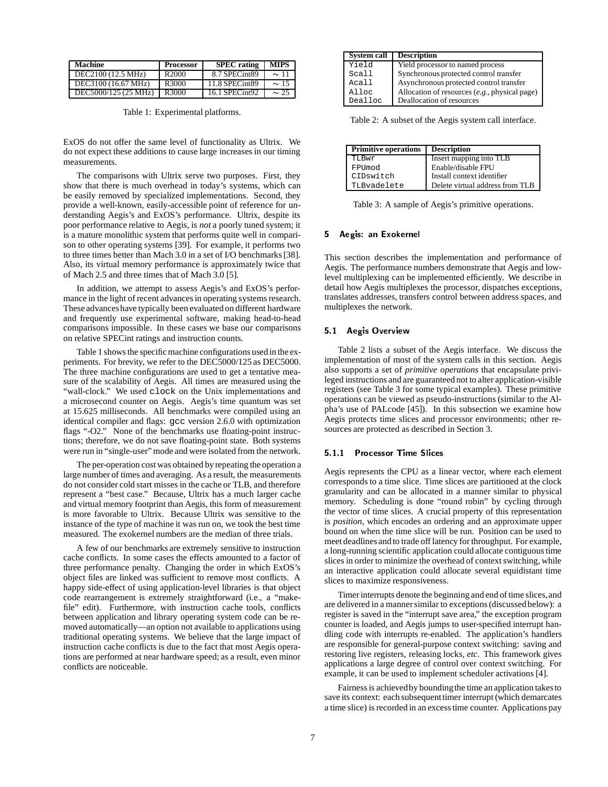| Machine              | <b>Processor</b>  | <b>SPEC</b> rating | <b>MIPS</b> |
|----------------------|-------------------|--------------------|-------------|
| DEC2100 (12.5 MHz)   | R <sub>2000</sub> | 8.7 SPECint89      | $\sim$ 11   |
| DEC3100 (16.67 MHz)  | R3000             | 11.8 SPECint89     | $\sim$ 15   |
| DEC5000/125 (25 MHz) | R3000             | 16.1 SPECint92     | $\sim$ 25   |

Table 1: Experimental platforms.

ExOS do not offer the same level of functionality as Ultrix. We do not expect these additions to cause large increasesin our timing measurements.

The comparisons with Ultrix serve two purposes. First, they show that there is much overhead in today's systems, which can be easily removed by specialized implementations. Second, they provide a well-known, easily-accessible point of reference for understanding Aegis's and ExOS's performance. Ultrix, despite its poor performance relative to Aegis, is *not* a poorly tuned system; it is a mature monolithic system that performs quite well in comparison to other operating systems [39]. For example, it performs two to three times better than Mach 3.0 in a set of I/O benchmarks[38]. Also, its virtual memory performance is approximately twice that of Mach 2.5 and three times that of Mach 3.0 [5].

In addition, we attempt to assess Aegis's and ExOS's performance in the light of recent advances in operating systems research. These advanceshave typically been evaluated on different hardware and frequently use experimental software, making head-to-head comparisons impossible. In these cases we base our comparisons on relative SPECint ratings and instruction counts.

Table 1 shows the specific machine configurations used in the experiments. For brevity, we refer to the DEC5000/125 as DEC5000. The three machine configurations are used to get a tentative measure of the scalability of Aegis. All times are measured using the "wall-clock." We used clock on the Unix implementations and a microsecond counter on Aegis. Aegis's time quantum was set at 15.625 milliseconds. All benchmarks were compiled using an identical compiler and flags: gcc version 2.6.0 with optimization flags "-O2." None of the benchmarks use floating-point instructions; therefore, we do not save floating-point state. Both systems were run in "single-user" mode and were isolated from the network.

The per-operation cost was obtained by repeating the operation a large number of times and averaging. As a result, the measurements do not consider cold start missesin the cache or TLB, and therefore represent a "best case." Because, Ultrix has a much larger cache and virtual memory footprint than Aegis, this form of measurement is more favorable to Ultrix. Because Ultrix was sensitive to the instance of the type of machine it was run on, we took the best time measured. The exokernel numbers are the median of three trials.

A few of our benchmarks are extremely sensitive to instruction cache conflicts. In some cases the effects amounted to a factor of three performance penalty. Changing the order in which ExOS's object files are linked was sufficient to remove most conflicts. A happy side-effect of using application-level libraries is that object code rearrangement is extremely straightforward (i.e., a "makefile" edit). Furthermore, with instruction cache tools, conflicts between application and library operating system code can be removed automatically—an option not available to applications using traditional operating systems. We believe that the large impact of instruction cache conflicts is due to the fact that most Aegis operations are performed at near hardware speed; as a result, even minor conflicts are noticeable.

| <b>System call</b> | <b>Description</b>                              |
|--------------------|-------------------------------------------------|
| Yield              | Yield processor to named process                |
| Scall              | Synchronous protected control transfer          |
| Acall              | Asynchronous protected control transfer         |
| Alloc              | Allocation of resources $(e.g., physical page)$ |
| Dealloc            | Deallocation of resources                       |

Table 2: A subset of the Aegis system call interface.

| <b>Primitive operations</b> | <b>Description</b>              |
|-----------------------------|---------------------------------|
| TLBwr                       | Insert mapping into TLB         |
| FPUmod                      | Enable/disable FPU              |
| CIDswitch                   | Install context identifier      |
| TLBvadelete                 | Delete virtual address from TLB |

Table 3: A sample of Aegis's primitive operations.

# - & %

This section describes the implementation and performance of Aegis. The performance numbers demonstrate that Aegis and lowlevel multiplexing can be implemented efficiently. We describe in detail how Aegis multiplexes the processor, dispatches exceptions, translates addresses, transfers control between address spaces, and multiplexes the network.

# - - - - - - -

Table 2 lists a subset of the Aegis interface. We discuss the implementation of most of the system calls in this section. Aegis also supports a set of *primitive operations* that encapsulate privileged instructions and are guaranteed not to alter application-visible registers (see Table 3 for some typical examples). These primitive operations can be viewed as pseudo-instructions(similar to the Alpha's use of PALcode [45]). In this subsection we examine how Aegis protects time slices and processor environments; other resources are protected as described in Section 3.

# 5.1.1 Processor Time Slices

Aegis represents the CPU as a linear vector, where each element corresponds to a time slice. Time slices are partitioned at the clock granularity and can be allocated in a manner similar to physical memory. Scheduling is done "round robin" by cycling through the vector of time slices. A crucial property of this representation is *position*, which encodes an ordering and an approximate upper bound on when the time slice will be run. Position can be used to meet deadlines and to trade off latency for throughput. For example, a long-running scientific application could allocate contiguous time slices in order to minimize the overhead of context switching, while an interactive application could allocate several equidistant time slices to maximize responsiveness.

Timer interrupts denote the beginning and end of time slices,and are delivered in a manner similar to exceptions (discussed below): a register is saved in the "interrupt save area," the exception program counter is loaded, and Aegis jumps to user-specified interrupt handling code with interrupts re-enabled. The application's handlers are responsible for general-purpose context switching: saving and restoring live registers, releasing locks, *etc*. This framework gives applications a large degree of control over context switching. For example, it can be used to implement scheduler activations [4].

Fairness is achieved by bounding the time an application takes to save its context: each subsequent timer interrupt (which demarcates a time slice) is recorded in an excess time counter. Applications pay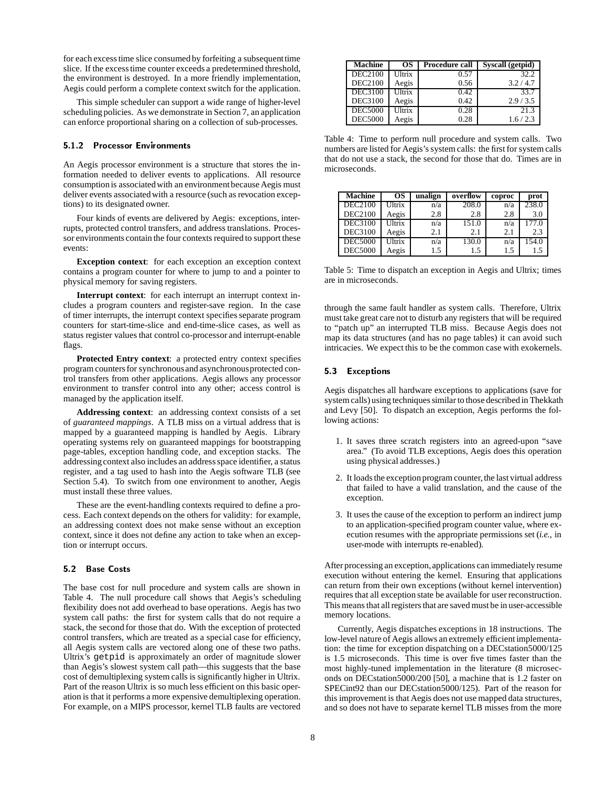for each excesstime slice consumed by forfeiting a subsequent time slice. If the excesstime counter exceeds a predetermined threshold, the environment is destroyed. In a more friendly implementation, Aegis could perform a complete context switch for the application.

This simple scheduler can support a wide range of higher-level scheduling policies. As we demonstrate in Section 7, an application can enforce proportional sharing on a collection of sub-processes.

# $\blacksquare$  . The contract of the contract of the contract of the contract of the contract of the contract of the contract of the contract of the contract of the contract of the contract of the contract of the contract of the

An Aegis processor environment is a structure that stores the information needed to deliver events to applications. All resource consumption is associated with an environment because Aegis must deliver events associated with a resource (such as revocation exceptions) to its designated owner.

Four kinds of events are delivered by Aegis: exceptions, interrupts, protected control transfers, and addresstranslations. Processor environments contain the four contexts required to support these events:

**Exception context**: for each exception an exception context contains a program counter for where to jump to and a pointer to physical memory for saving registers.

**Interrupt context**: for each interrupt an interrupt context includes a program counters and register-save region. In the case of timer interrupts, the interrupt context specifies separate program counters for start-time-slice and end-time-slice cases, as well as status register values that control co-processor and interrupt-enable flags.

**Protected Entry context**: a protected entry context specifies program countersfor synchronousand asynchronousprotected control transfers from other applications. Aegis allows any processor environment to transfer control into any other; access control is managed by the application itself.

**Addressing context**: an addressing context consists of a set of *guaranteed mappings*. A TLB miss on a virtual address that is mapped by a guaranteed mapping is handled by Aegis. Library operating systems rely on guaranteed mappings for bootstrapping page-tables, exception handling code, and exception stacks. The addressing context also includes an addressspace identifier, a status register, and a tag used to hash into the Aegis software TLB (see Section 5.4). To switch from one environment to another, Aegis must install these three values.

These are the event-handling contexts required to define a process. Each context depends on the others for validity: for example, an addressing context does not make sense without an exception context, since it does not define any action to take when an exception or interrupt occurs.

# 

The base cost for null procedure and system calls are shown in Table 4. The null procedure call shows that Aegis's scheduling flexibility does not add overhead to base operations. Aegis has two system call paths: the first for system calls that do not require a stack, the second for those that do. With the exception of protected control transfers, which are treated as a special case for efficiency, all Aegis system calls are vectored along one of these two paths. Ultrix's getpid is approximately an order of magnitude slower than Aegis's slowest system call path—this suggests that the base cost of demultiplexing system calls is significantly higher in Ultrix. Part of the reason Ultrix is so much less efficient on this basic operation is that it performs a more expensive demultiplexing operation. For example, on a MIPS processor, kernel TLB faults are vectored

| <b>Machine</b> | OS.    | Procedure call | Syscall (getpid) |
|----------------|--------|----------------|------------------|
| <b>DEC2100</b> | Ultrix | 0.57           | 32.2             |
| <b>DEC2100</b> | Aegis  | 0.56           | 3.2/4.7          |
| <b>DEC3100</b> | Ultrix | 0.42           | 33.7             |
| <b>DEC3100</b> | Aegis  | 0.42           | 2.9/3.5          |
| <b>DEC5000</b> | Ultrix | 0.28           | 21.3             |
| <b>DEC5000</b> | Aegis  | 0.28           | 1.6/2.3          |

Table 4: Time to perform null procedure and system calls. Two numbers are listed for Aegis's system calls: the first for system calls that do not use a stack, the second for those that do. Times are in microseconds.

| <b>Machine</b> | OS     | unalign | overflow | coproc | prot  |
|----------------|--------|---------|----------|--------|-------|
| <b>DEC2100</b> | Ultrix | n/a     | 208.0    | n/a    | 238.0 |
| <b>DEC2100</b> | Aegis  | 2.8     | 2.8      | 2.8    | 3.0   |
| <b>DEC3100</b> | Ultrix | n/a     | 151.0    | n/a    | 177.0 |
| <b>DEC3100</b> | Aegis  | 2.1     | 2.1      | 2.1    | 2.3   |
| <b>DEC5000</b> | Ultrix | n/a     | 130.0    | n/a    | 154.0 |
| <b>DEC5000</b> | Aegis  | 1.5     | 1.5      | 1.5    |       |

Table 5: Time to dispatch an exception in Aegis and Ultrix; times are in microseconds.

through the same fault handler as system calls. Therefore, Ultrix must take great care not to disturb any registers that will be required to "patch up" an interrupted TLB miss. Because Aegis does not map its data structures (and has no page tables) it can avoid such intricacies. We expect this to be the common case with exokernels.

# 5.3 Exceptions

Aegis dispatches all hardware exceptions to applications (save for system calls) using techniques similar to those described in Thekkath and Levy [50]. To dispatch an exception, Aegis performs the following actions:

- 1. It saves three scratch registers into an agreed-upon "save area." (To avoid TLB exceptions, Aegis does this operation using physical addresses.)
- 2. It loads the exception program counter, the last virtual address that failed to have a valid translation, and the cause of the exception.
- 3. It usesthe cause of the exception to perform an indirect jump to an application-specified program counter value, where execution resumes with the appropriate permissions set (*i.e.,* in user-mode with interrupts re-enabled).

After processing an exception,applications can immediately resume execution without entering the kernel. Ensuring that applications can return from their own exceptions (without kernel intervention) requires that all exception state be available for user reconstruction. This means that all registers that are saved must be in user-accessible memory locations.

Currently, Aegis dispatches exceptions in 18 instructions. The low-level nature of Aegis allows an extremely efficient implementation: the time for exception dispatching on a DECstation5000/125 is 1.5 microseconds. This time is over five times faster than the most highly-tuned implementation in the literature (8 microseconds on DECstation5000/200 [50], a machine that is 1.2 faster on SPECint92 than our DECstation5000/125). Part of the reason for this improvement is that Aegis does not use mapped data structures, and so does not have to separate kernel TLB misses from the more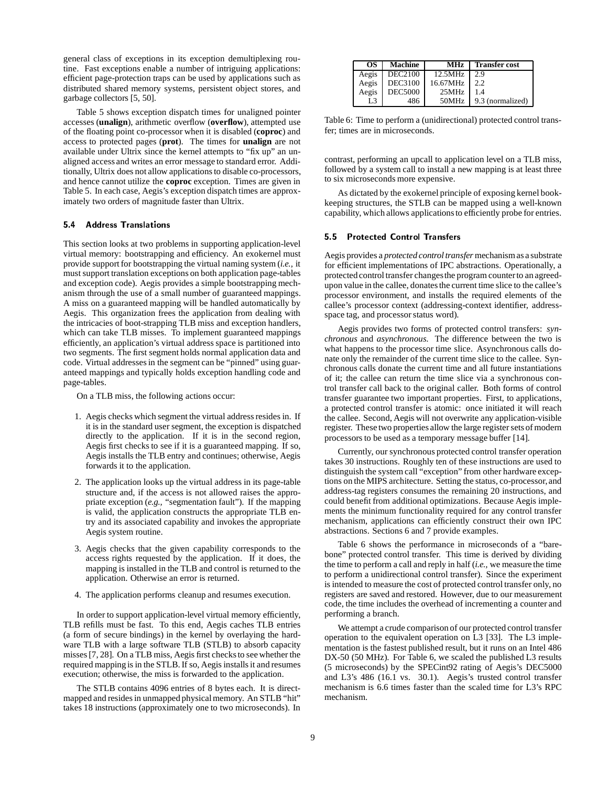general class of exceptions in its exception demultiplexing routine. Fast exceptions enable a number of intriguing applications: efficient page-protection traps can be used by applications such as distributed shared memory systems, persistent object stores, and garbage collectors [5, 50].

Table 5 shows exception dispatch times for unaligned pointer accesses (**unalign**), arithmetic overflow (**overflow**), attempted use of the floating point co-processor when it is disabled (**coproc**) and access to protected pages (**prot**). The times for **unalign** are not available under Ultrix since the kernel attempts to "fix up" an unaligned access and writes an error message to standard error. Additionally, Ultrix does not allow applicationsto disable co-processors, and hence cannot utilize the **coproc** exception. Times are given in Table 5. In each case, Aegis's exception dispatch times are approximately two orders of magnitude faster than Ultrix.

## -

This section looks at two problems in supporting application-level virtual memory: bootstrapping and efficiency. An exokernel must provide support for bootstrapping the virtual naming system (*i.e.,* it must support translation exceptions on both application page-tables and exception code). Aegis provides a simple bootstrapping mechanism through the use of a small number of guaranteed mappings. A miss on a guaranteed mapping will be handled automatically by Aegis. This organization frees the application from dealing with the intricacies of boot-strapping TLB miss and exception handlers, which can take TLB misses. To implement guaranteed mappings efficiently, an application's virtual addressspace is partitioned into two segments. The first segment holds normal application data and code. Virtual addresses in the segment can be "pinned" using guaranteed mappings and typically holds exception handling code and page-tables.

On a TLB miss, the following actions occur:

- 1. Aegis checks which segment the virtual address resides in. If it is in the standard user segment, the exception is dispatched directly to the application. If it is in the second region, Aegis first checks to see if it is a guaranteed mapping. If so, Aegis installs the TLB entry and continues; otherwise, Aegis forwards it to the application.
- 2. The application looks up the virtual address in its page-table structure and, if the access is not allowed raises the appropriate exception (*e.g.,* "segmentation fault"). If the mapping is valid, the application constructs the appropriate TLB entry and its associated capability and invokes the appropriate Aegis system routine.
- 3. Aegis checks that the given capability corresponds to the access rights requested by the application. If it does, the mapping is installed in the TLB and control is returned to the application. Otherwise an error is returned.
- 4. The application performs cleanup and resumes execution.

In order to support application-level virtual memory efficiently, TLB refills must be fast. To this end, Aegis caches TLB entries (a form of secure bindings) in the kernel by overlaying the hardware TLB with a large software TLB (STLB) to absorb capacity misses [7, 28]. On a TLB miss, Aegis first checks to see whether the required mapping is in the STLB. If so, Aegis installs it and resumes execution; otherwise, the miss is forwarded to the application.

The STLB contains 4096 entries of 8 bytes each. It is directmapped and resides in unmapped physical memory. An STLB "hit" takes 18 instructions (approximately one to two microseconds). In

| OS.            | <b>Machine</b> | MHz      | <b>Transfer cost</b>   |
|----------------|----------------|----------|------------------------|
| Aegis          | <b>DEC2100</b> | 12.5MHz  | 2.9                    |
| Aegis          | <b>DEC3100</b> | 16.67MHz | 2.2                    |
| Aegis          | <b>DEC5000</b> | 25MHz    | 1.4                    |
| L <sub>3</sub> | 486            |          | 50MHz 9.3 (normalized) |

Table 6: Time to perform a (unidirectional) protected control transfer; times are in microseconds.

contrast, performing an upcall to application level on a TLB miss, followed by a system call to install a new mapping is at least three to six microseconds more expensive.

As dictated by the exokernel principle of exposing kernel bookkeeping structures, the STLB can be mapped using a well-known capability, which allows applicationsto efficiently probe for entries.

#### %

Aegis provides a *protected control transfer* mechanismas a substrate for efficient implementations of IPC abstractions. Operationally, a protected control transfer changesthe program counterto an agreedupon value in the callee, donates the current time slice to the callee's processor environment, and installs the required elements of the callee's processor context (addressing-context identifier, addressspace tag, and processor status word).

Aegis provides two forms of protected control transfers: *synchronous* and *asynchronous*. The difference between the two is what happens to the processor time slice. Asynchronous calls donate only the remainder of the current time slice to the callee. Synchronous calls donate the current time and all future instantiations of it; the callee can return the time slice via a synchronous control transfer call back to the original caller. Both forms of control transfer guarantee two important properties. First, to applications, a protected control transfer is atomic: once initiated it will reach the callee. Second, Aegis will not overwrite any application-visible register. These two properties allow the large register sets of modern processors to be used as a temporary message buffer [14].

Currently, our synchronous protected control transfer operation takes 30 instructions. Roughly ten of these instructions are used to distinguish the system call "exception" from other hardware exceptions on the MIPS architecture. Setting the status, co-processor, and address-tag registers consumes the remaining 20 instructions, and could benefit from additional optimizations. Because Aegis implements the minimum functionality required for any control transfer mechanism, applications can efficiently construct their own IPC abstractions. Sections 6 and 7 provide examples.

Table 6 shows the performance in microseconds of a "barebone" protected control transfer. This time is derived by dividing the time to perform a call and reply in half (*i.e.,* we measure the time to perform a unidirectional control transfer). Since the experiment is intended to measure the cost of protected control transfer only, no registers are saved and restored. However, due to our measurement code, the time includes the overhead of incrementing a counter and performing a branch.

We attempt a crude comparison of our protected control transfer operation to the equivalent operation on L3 [33]. The L3 implementation is the fastest published result, but it runs on an Intel 486 DX-50 (50 MHz). For Table 6, we scaled the published L3 results (5 microseconds) by the SPECint92 rating of Aegis's DEC5000 and L3's 486 (16.1 vs. 30.1). Aegis's trusted control transfer mechanism is 6.6 times faster than the scaled time for L3's RPC mechanism.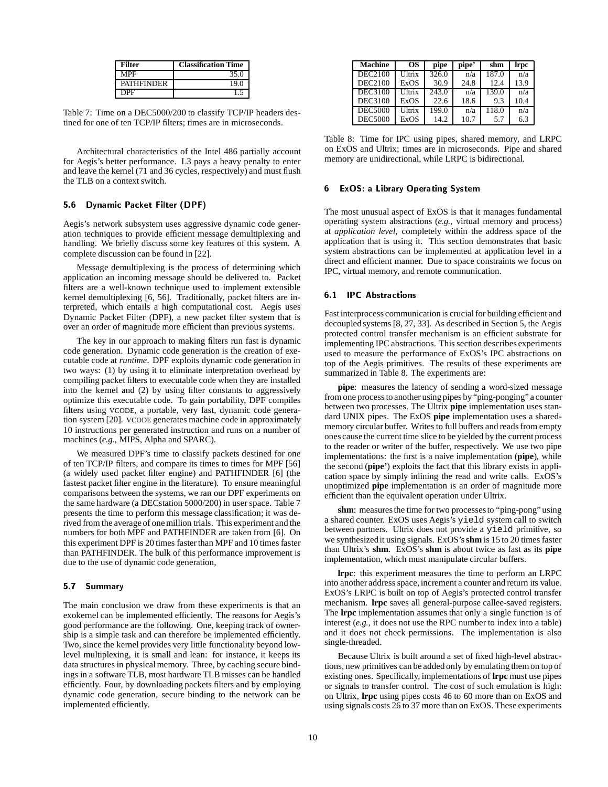| Filter            | <b>Classification Time</b> |
|-------------------|----------------------------|
| <b>MPF</b>        | 35.0                       |
| <b>PATHFINDER</b> | 19.0                       |
| DPF               |                            |

Table 7: Time on a DEC5000/200 to classify TCP/IP headers destined for one of ten TCP/IP filters; times are in microseconds.

Architectural characteristics of the Intel 486 partially account for Aegis's better performance. L3 pays a heavy penalty to enter and leave the kernel (71 and 36 cycles, respectively) and must flush the TLB on a context switch.

## ) \$  \* 
 -

Aegis's network subsystem uses aggressive dynamic code generation techniques to provide efficient message demultiplexing and handling. We briefly discuss some key features of this system. A complete discussion can be found in [22].

Message demultiplexing is the process of determining which application an incoming message should be delivered to. Packet filters are a well-known technique used to implement extensible kernel demultiplexing [6, 56]. Traditionally, packet filters are interpreted, which entails a high computational cost. Aegis uses Dynamic Packet Filter (DPF), a new packet filter system that is over an order of magnitude more efficient than previous systems.

The key in our approach to making filters run fast is dynamic code generation. Dynamic code generation is the creation of executable code at *runtime*. DPF exploits dynamic code generation in two ways: (1) by using it to eliminate interpretation overhead by compiling packet filters to executable code when they are installed into the kernel and (2) by using filter constants to aggressively optimize this executable code. To gain portability, DPF compiles filters using VCODE, a portable, very fast, dynamic code generation system [20]. VCODE generates machine code in approximately 10 instructions per generated instruction and runs on a number of machines (*e.g.,* MIPS, Alpha and SPARC).

We measured DPF's time to classify packets destined for one of ten TCP/IP filters, and compare its times to times for MPF [56] (a widely used packet filter engine) and PATHFINDER [6] (the fastest packet filter engine in the literature). To ensure meaningful comparisons between the systems, we ran our DPF experiments on the same hardware (a DECstation 5000/200) in user space. Table 7 presents the time to perform this message classification; it was derived from the average of onemillion trials. This experiment and the numbers for both MPF and PATHFINDER are taken from [6]. On this experiment DPF is 20 times faster than MPF and 10 times faster than PATHFINDER. The bulk of this performance improvement is due to the use of dynamic code generation,

#### %))

The main conclusion we draw from these experiments is that an exokernel can be implemented efficiently. The reasons for Aegis's good performance are the following. One, keeping track of ownership is a simple task and can therefore be implemented efficiently. Two, since the kernel provides very little functionality beyond lowlevel multiplexing, it is small and lean: for instance, it keeps its data structures in physical memory. Three, by caching secure bindings in a software TLB, most hardware TLB misses can be handled efficiently. Four, by downloading packets filters and by employing dynamic code generation, secure binding to the network can be implemented efficiently.

| <b>Machine</b> | ОS          | pipe  | pipe' | shm   | lrpc |
|----------------|-------------|-------|-------|-------|------|
| <b>DEC2100</b> | Ultrix      | 326.0 | n/a   | 187.0 | n/a  |
| <b>DEC2100</b> | ExOS        | 30.9  | 24.8  | 12.4  | 13.9 |
| <b>DEC3100</b> | Ultrix      | 243.0 | n/a   | 139.0 | n/a  |
| <b>DEC3100</b> | ExOS        | 22.6  | 18.6  | 9.3   | 10.4 |
| <b>DEC5000</b> | Ultrix      | 199.0 | n/a   | 118.0 | n/a  |
| <b>DEC5000</b> | <b>ExOS</b> | 14.2  | 10.7  | 5.7   | 6.3  |

Table 8: Time for IPC using pipes, shared memory, and LRPC on ExOS and Ultrix; times are in microseconds. Pipe and shared memory are unidirectional, while LRPC is bidirectional.

#### & ! % \$ )

The most unusual aspect of ExOS is that it manages fundamental operating system abstractions (*e.g.,* virtual memory and process) at *application level*, completely within the address space of the application that is using it. This section demonstrates that basic system abstractions can be implemented at application level in a direct and efficient manner. Due to space constraints we focus on IPC, virtual memory, and remote communication.

#### -

Fast interprocess communication is crucial for building efficient and decoupled systems[8, 27, 33]. As described in Section 5, the Aegis protected control transfer mechanism is an efficient substrate for implementing IPC abstractions. This section describes experiments used to measure the performance of ExOS's IPC abstractions on top of the Aegis primitives. The results of these experiments are summarized in Table 8. The experiments are:

**pipe**: measures the latency of sending a word-sized message from one processto another using pipes by "ping-ponging" a counter between two processes. The Ultrix **pipe** implementation uses standard UNIX pipes. The ExOS **pipe** implementation uses a sharedmemory circular buffer. Writes to full buffers and reads from empty ones cause the current time slice to be yielded by the current process to the reader or writer of the buffer, respectively. We use two pipe implementations: the first is a naive implementation (**pipe**), while the second (**pipe'**) exploits the fact that this library exists in application space by simply inlining the read and write calls. ExOS's unoptimized **pipe** implementation is an order of magnitude more efficient than the equivalent operation under Ultrix.

shm: measures the time for two processes to "ping-pong" using a shared counter. ExOS uses Aegis's yield system call to switch between partners. Ultrix does not provide a yield primitive, so we synthesized it using signals. ExOS's shm is 15 to 20 times faster than Ultrix's **shm**. ExOS's **shm** is about twice as fast as its **pipe** implementation, which must manipulate circular buffers.

**lrpc**: this experiment measures the time to perform an LRPC into another address space, increment a counter and return its value. ExOS's LRPC is built on top of Aegis's protected control transfer mechanism. **lrpc** saves all general-purpose callee-saved registers. The **lrpc** implementation assumes that only a single function is of interest (*e.g.,* it does not use the RPC number to index into a table) and it does not check permissions. The implementation is also single-threaded.

Because Ultrix is built around a set of fixed high-level abstractions, new primitives can be added only by emulating them on top of existing ones. Specifically, implementations of **lrpc** must use pipes or signals to transfer control. The cost of such emulation is high: on Ultrix, **lrpc** using pipes costs 46 to 60 more than on ExOS and using signals costs 26 to 37 more than on ExOS. These experiments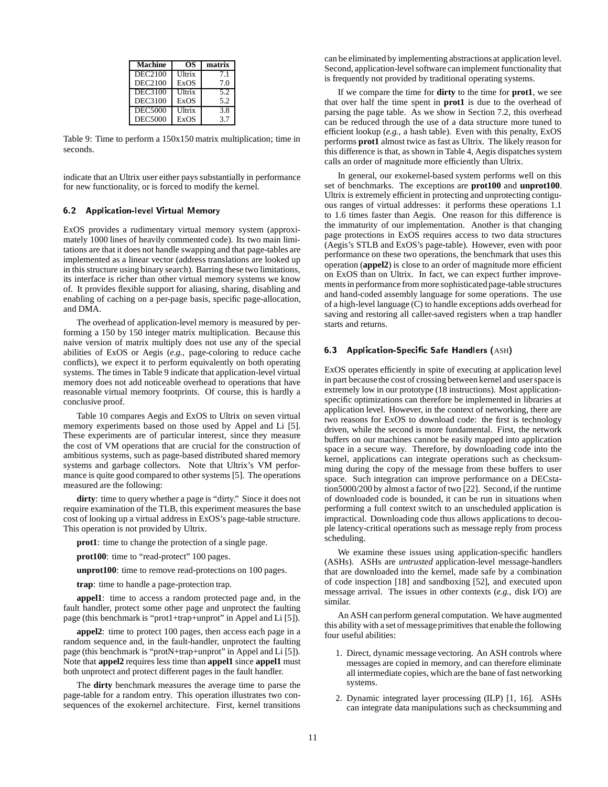| <b>Machine</b> | OS          | matrix |
|----------------|-------------|--------|
| DEC2100        | Ultrix      | 7.1    |
| <b>DEC2100</b> | ExOS        | 7.0    |
| <b>DEC3100</b> | Ultrix      | 5.2    |
| <b>DEC3100</b> | ExOS        | 5.2    |
| <b>DEC5000</b> | Ultrix      | 3.8    |
| <b>DEC5000</b> | <b>ExOS</b> | 3.7    |

Table 9: Time to perform a 150x150 matrix multiplication; time in seconds.

indicate that an Ultrix user either pays substantially in performance for new functionality, or is forced to modify the kernel.

## $\blacksquare$  . The set of the set of the set of the set of the set of the set of the set of the set of the set of the set of the set of the set of the set of the set of the set of the set of the set of the set of the set of the

ExOS provides a rudimentary virtual memory system (approximately 1000 lines of heavily commented code). Its two main limitations are that it does not handle swapping and that page-tables are implemented as a linear vector (address translations are looked up in this structure using binary search). Barring these two limitations, its interface is richer than other virtual memory systems we know of. It provides flexible support for aliasing, sharing, disabling and enabling of caching on a per-page basis, specific page-allocation, and DMA.

The overhead of application-level memory is measured by performing a 150 by 150 integer matrix multiplication. Because this naive version of matrix multiply does not use any of the special abilities of ExOS or Aegis (*e.g.,* page-coloring to reduce cache conflicts), we expect it to perform equivalently on both operating systems. The times in Table 9 indicate that application-level virtual memory does not add noticeable overhead to operations that have reasonable virtual memory footprints. Of course, this is hardly a conclusive proof.

Table 10 compares Aegis and ExOS to Ultrix on seven virtual memory experiments based on those used by Appel and Li [5]. These experiments are of particular interest, since they measure the cost of VM operations that are crucial for the construction of ambitious systems, such as page-based distributed shared memory systems and garbage collectors. Note that Ultrix's VM performance is quite good compared to other systems[5]. The operations measured are the following:

**dirty**: time to query whether a page is "dirty." Since it does not require examination of the TLB, this experiment measures the base cost of looking up a virtual addressin ExOS's page-table structure. This operation is not provided by Ultrix.

**prot1**: time to change the protection of a single page.

**prot100**: time to "read-protect" 100 pages.

**unprot100**: time to remove read-protections on 100 pages.

**trap**: time to handle a page-protection trap.

**appel1**: time to access a random protected page and, in the fault handler, protect some other page and unprotect the faulting page (this benchmark is "prot1+trap+unprot" in Appel and Li [5]).

**appel2**: time to protect 100 pages, then access each page in a random sequence and, in the fault-handler, unprotect the faulting page (this benchmark is "protN+trap+unprot" in Appel and Li [5]). Note that **appel2** requires less time than **appel1** since **appel1** must both unprotect and protect different pages in the fault handler.

The **dirty** benchmark measures the average time to parse the page-table for a random entry. This operation illustrates two consequences of the exokernel architecture. First, kernel transitions can be eliminated by implementing abstractions at application level. Second, application-level software can implement functionality that is frequently not provided by traditional operating systems.

If we compare the time for **dirty** to the time for **prot1**, we see that over half the time spent in **prot1** is due to the overhead of parsing the page table. As we show in Section 7.2, this overhead can be reduced through the use of a data structure more tuned to efficient lookup (*e.g.,* a hash table). Even with this penalty, ExOS performs **prot1** almost twice as fast as Ultrix. The likely reason for this difference is that, as shown in Table 4, Aegis dispatches system calls an order of magnitude more efficiently than Ultrix.

In general, our exokernel-based system performs well on this set of benchmarks. The exceptions are **prot100** and **unprot100**. Ultrix is extremely efficient in protecting and unprotecting contiguous ranges of virtual addresses: it performs these operations 1.1 to 1.6 times faster than Aegis. One reason for this difference is the immaturity of our implementation. Another is that changing page protections in ExOS requires access to two data structures (Aegis's STLB and ExOS's page-table). However, even with poor performance on these two operations, the benchmark that uses this operation (**appel2**) is close to an order of magnitude more efficient on ExOS than on Ultrix. In fact, we can expect further improvements in performance from more sophisticated page-table structures and hand-coded assembly language for some operations. The use of a high-level language (C) to handle exceptions adds overhead for saving and restoring all caller-saved registers when a trap handler starts and returns.

# 6.3 Application-Specific Safe Handlers (<code>ASH)</code>

ExOS operates efficiently in spite of executing at application level in part because the cost of crossing between kernel and user space is extremely low in our prototype (18 instructions). Most applicationspecific optimizations can therefore be implemented in libraries at application level. However, in the context of networking, there are two reasons for ExOS to download code: the first is technology driven, while the second is more fundamental. First, the network buffers on our machines cannot be easily mapped into application space in a secure way. Therefore, by downloading code into the kernel, applications can integrate operations such as checksumming during the copy of the message from these buffers to user space. Such integration can improve performance on a DECstation5000/200 by almost a factor of two [22]. Second, if the runtime of downloaded code is bounded, it can be run in situations when performing a full context switch to an unscheduled application is impractical. Downloading code thus allows applications to decouple latency-critical operations such as message reply from process scheduling.

We examine these issues using application-specific handlers (ASHs). ASHs are *untrusted* application-level message-handlers that are downloaded into the kernel, made safe by a combination of code inspection [18] and sandboxing [52], and executed upon message arrival. The issues in other contexts (*e.g.,* disk I/O) are similar.

An ASH can perform general computation. We have augmented this ability with a set of message primitives that enable the following four useful abilities:

- 1. Direct, dynamic message vectoring. An ASH controls where messages are copied in memory, and can therefore eliminate all intermediate copies, which are the bane of fast networking systems.
- 2. Dynamic integrated layer processing (ILP) [1, 16]. ASHs can integrate data manipulations such as checksumming and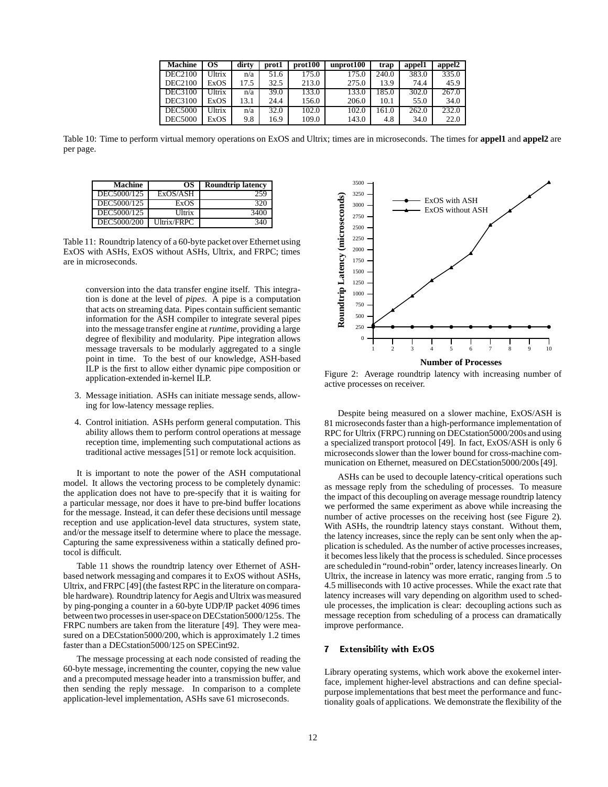| <b>Machine</b> | ОS     | dirty | prot1 | prot100 | unprot100 | trap  | appel1 | appel2 |
|----------------|--------|-------|-------|---------|-----------|-------|--------|--------|
| <b>DEC2100</b> | Ultrix | n/a   | 51.6  | 175.0   | 175.0     | 240.0 | 383.0  | 335.0  |
| <b>DEC2100</b> | ExOS   | 17.5  | 32.5  | 213.0   | 275.0     | 13.9  | 74.4   | 45.9   |
| <b>DEC3100</b> | Ultrix | n/a   | 39.0  | 133.0   | 133.0     | 185.0 | 302.0  | 267.0  |
| <b>DEC3100</b> | ExOS   | 13.1  | 24.4  | 156.0   | 206.0     | 10.1  | 55.0   | 34.0   |
| <b>DEC5000</b> | Ultrix | n/a   | 32.0  | 102.0   | 102.0     | 161.0 | 262.0  | 232.0  |
| <b>DEC5000</b> | ExOS   | 9.8   | 16.9  | 109.0   | 143.0     | 4.8   | 34.0   | 22.0   |

Table 10: Time to perform virtual memory operations on ExOS and Ultrix; times are in microseconds. The times for **appel1** and **appel2** are per page.

| <b>Machine</b> | OS.         | <b>Roundtrip latency</b> |
|----------------|-------------|--------------------------|
| DEC5000/125    | ExOS/ASH    | 259                      |
| DEC5000/125    | ExOS        | 320                      |
| DEC5000/125    | Ultrix      | 3400                     |
| DEC5000/200    | Ultrix/FRPC | 340                      |

Table 11: Roundtrip latency of a 60-byte packet over Ethernet using ExOS with ASHs, ExOS without ASHs, Ultrix, and FRPC; times are in microseconds.

conversion into the data transfer engine itself. This integration is done at the level of *pipes*. A pipe is a computation that acts on streaming data. Pipes contain sufficient semantic information for the ASH compiler to integrate several pipes into the message transfer engine at *runtime*, providing a large degree of flexibility and modularity. Pipe integration allows message traversals to be modularly aggregated to a single point in time. To the best of our knowledge, ASH-based ILP is the first to allow either dynamic pipe composition or application-extended in-kernel ILP.

- 3. Message initiation. ASHs can initiate message sends, allowing for low-latency message replies.
- 4. Control initiation. ASHs perform general computation. This ability allows them to perform control operations at message reception time, implementing such computational actions as traditional active messages[51] or remote lock acquisition.

It is important to note the power of the ASH computational model. It allows the vectoring process to be completely dynamic: the application does not have to pre-specify that it is waiting for a particular message, nor does it have to pre-bind buffer locations for the message. Instead, it can defer these decisions until message reception and use application-level data structures, system state, and/or the message itself to determine where to place the message. Capturing the same expressiveness within a statically defined protocol is difficult.

Table 11 shows the roundtrip latency over Ethernet of ASHbased network messaging and comparesit to ExOS without ASHs, Ultrix, and FRPC [49] (the fastestRPC in the literature on comparable hardware). Roundtrip latency for Aegis and Ultrix was measured by ping-ponging a counter in a 60-byte UDP/IP packet 4096 times between two processesin user-spaceon DECstation5000/125s. The FRPC numbers are taken from the literature [49]. They were measured on a DECstation5000/200, which is approximately 1.2 times faster than a DECstation5000/125 on SPECint92.

The message processing at each node consisted of reading the 60-byte message, incrementing the counter, copying the new value and a precomputed message header into a transmission buffer, and then sending the reply message. In comparison to a complete application-level implementation, ASHs save 61 microseconds.



Figure 2: Average roundtrip latency with increasing number of active processes on receiver.

Despite being measured on a slower machine, ExOS/ASH is 81 microsecondsfaster than a high-performance implementation of RPC for Ultrix (FRPC) running on DECstation5000/200s and using a specialized transport protocol [49]. In fact, ExOS/ASH is only 6 microseconds slower than the lower bound for cross-machine communication on Ethernet, measured on DECstation5000/200s [49].

ASHs can be used to decouple latency-critical operations such as message reply from the scheduling of processes. To measure the impact of this decoupling on average message roundtrip latency we performed the same experiment as above while increasing the number of active processes on the receiving host (see Figure 2). With ASHs, the roundtrip latency stays constant. Without them, the latency increases, since the reply can be sent only when the application is scheduled. As the number of active processes increases, it becomes less likely that the process is scheduled. Since processes are scheduledin "round-robin" order, latency increaseslinearly. On Ultrix, the increase in latency was more erratic, ranging from .5 to 4.5 milliseconds with 10 active processes. While the exact rate that latency increases will vary depending on algorithm used to schedule processes, the implication is clear: decoupling actions such as message reception from scheduling of a process can dramatically improve performance.

# - %

Library operating systems, which work above the exokernel interface, implement higher-level abstractions and can define specialpurpose implementations that best meet the performance and functionality goals of applications. We demonstrate the flexibility of the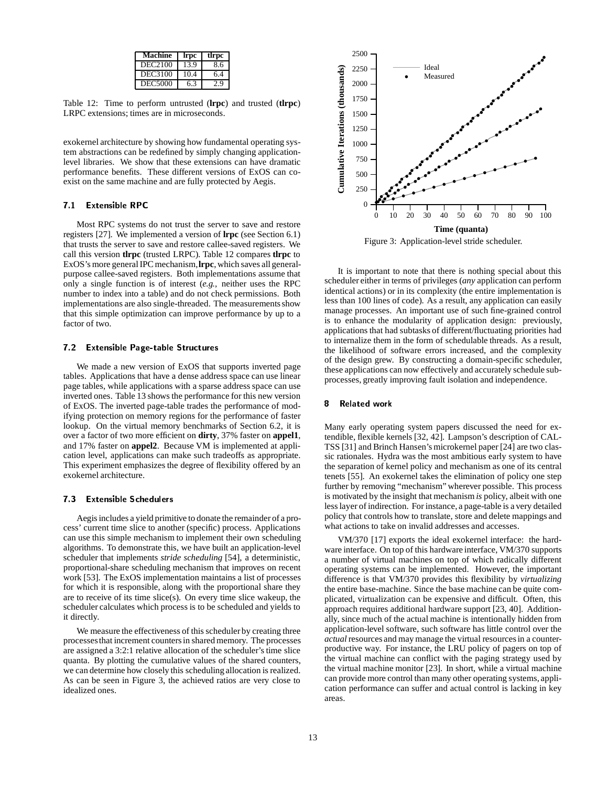| <b>Machine</b> | lrpc | tlrpc |
|----------------|------|-------|
| <b>DEC2100</b> | 13.9 | 8.6   |
| <b>DEC3100</b> | 10.4 | 64    |
| <b>DEC5000</b> | 63   |       |

Table 12: Time to perform untrusted (**lrpc**) and trusted (**tlrpc**) LRPC extensions; times are in microseconds.

exokernel architecture by showing how fundamental operating system abstractions can be redefined by simply changing applicationlevel libraries. We show that these extensions can have dramatic performance benefits. These different versions of ExOS can coexist on the same machine and are fully protected by Aegis.

## % -

Most RPC systems do not trust the server to save and restore registers [27]. We implemented a version of **lrpc** (see Section 6.1) that trusts the server to save and restore callee-saved registers. We call this version **tlrpc** (trusted LRPC). Table 12 compares **tlrpc** to ExOS's more general IPC mechanism,**lrpc**, which saves all generalpurpose callee-saved registers. Both implementations assume that only a single function is of interest (*e.g.,* neither uses the RPC number to index into a table) and do not check permissions. Both implementations are also single-threaded. The measurements show that this simple optimization can improve performance by up to a factor of two.

#### $\blacksquare$  . The set of the set of the set of the set of the set of the set of the set of the set of the set of the set of the set of the set of the set of the set of the set of the set of the set of the set of the set of the

We made a new version of ExOS that supports inverted page tables. Applications that have a dense address space can use linear page tables, while applications with a sparse address space can use inverted ones. Table 13 shows the performance for this new version of ExOS. The inverted page-table trades the performance of modifying protection on memory regions for the performance of faster lookup. On the virtual memory benchmarks of Section 6.2, it is over a factor of two more efficient on **dirty**, 37% faster on **appel1**, and 17% faster on **appel2**. Because VM is implemented at application level, applications can make such tradeoffs as appropriate. This experiment emphasizes the degree of flexibility offered by an exokernel architecture.

# 7.3 Extensible Schedulers

Aegis includes a yield primitive to donate the remainder of a process' current time slice to another (specific) process. Applications can use this simple mechanism to implement their own scheduling algorithms. To demonstrate this, we have built an application-level scheduler that implements *stride scheduling* [54], a deterministic, proportional-share scheduling mechanism that improves on recent work [53]. The ExOS implementation maintains a list of processes for which it is responsible, along with the proportional share they are to receive of its time slice(s). On every time slice wakeup, the scheduler calculates which process is to be scheduled and yields to it directly.

We measure the effectiveness of this scheduler by creating three processesthat increment countersin shared memory. The processes are assigned a 3:2:1 relative allocation of the scheduler's time slice quanta. By plotting the cumulative values of the shared counters, we can determine how closely this scheduling allocation is realized. As can be seen in Figure 3, the achieved ratios are very close to idealized ones.



Figure 3: Application-level stride scheduler.

It is important to note that there is nothing special about this scheduler either in terms of privileges (*any* application can perform identical actions) or in its complexity (the entire implementation is less than 100 lines of code). As a result, any application can easily manage processes. An important use of such fine-grained control is to enhance the modularity of application design: previously, applications that had subtasks of different/fluctuating priorities had to internalize them in the form of schedulable threads. As a result, the likelihood of software errors increased, and the complexity of the design grew. By constructing a domain-specific scheduler, these applications can now effectively and accurately schedule subprocesses, greatly improving fault isolation and independence.

#### -\$  -

Many early operating system papers discussed the need for extendible, flexible kernels [32, 42]. Lampson's description of CAL-TSS [31] and Brinch Hansen's microkernel paper [24] are two classic rationales. Hydra was the most ambitious early system to have the separation of kernel policy and mechanism as one of its central tenets [55]. An exokernel takes the elimination of policy one step further by removing "mechanism" wherever possible. This process is motivated by the insight that mechanism *is* policy, albeit with one lesslayer of indirection. For instance, a page-table is a very detailed policy that controls how to translate, store and delete mappings and what actions to take on invalid addresses and accesses.

VM/370 [17] exports the ideal exokernel interface: the hardware interface. On top of this hardware interface, VM/370 supports a number of virtual machines on top of which radically different operating systems can be implemented. However, the important difference is that VM/370 provides this flexibility by *virtualizing* the entire base-machine. Since the base machine can be quite complicated, virtualization can be expensive and difficult. Often, this approach requires additional hardware support [23, 40]. Additionally, since much of the actual machine is intentionally hidden from application-level software, such software has little control over the *actual* resources and may manage the virtual resourcesin a counterproductive way. For instance, the LRU policy of pagers on top of the virtual machine can conflict with the paging strategy used by the virtual machine monitor [23]. In short, while a virtual machine can provide more control than many other operating systems, application performance can suffer and actual control is lacking in key areas.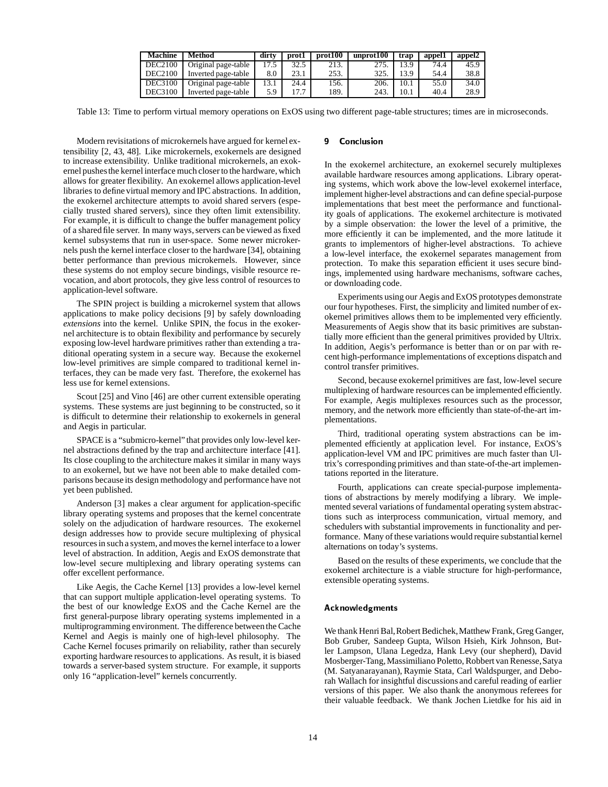| <b>Machine</b> | Method              | dirty | prot1 | prot100 | unprot100 | trap | appel1 | appel <sub>2</sub> |
|----------------|---------------------|-------|-------|---------|-----------|------|--------|--------------------|
| <b>DEC2100</b> | Original page-table | 17.5  | 32.5  | 213.    | 275.      | 13.9 | 74.4   | 45.9               |
| <b>DEC2100</b> | Inverted page-table | 8.0   | 23.1  | 253.    | 325.      | 13.9 | 54.4   | 38.8               |
| <b>DEC3100</b> | Original page-table | 13.1  | 24.4  | 156.    | 206.      | 10.1 | 55.0   | 34.0               |
| <b>DEC3100</b> | Inverted page-table | 5.9   |       | 189.    | 243.      | 10.1 | 40.4   | 28.9               |

Table 13: Time to perform virtual memory operations on ExOS using two different page-table structures; times are in microseconds.

Modern revisitations of microkernels have argued for kernel extensibility [2, 43, 48]. Like microkernels, exokernels are designed to increase extensibility. Unlike traditional microkernels, an exokernel pushes the kernel interface much closer to the hardware, which allows for greater flexibility. An exokernel allows application-level libraries to define virtual memory and IPC abstractions. In addition, the exokernel architecture attempts to avoid shared servers (especially trusted shared servers), since they often limit extensibility. For example, it is difficult to change the buffer management policy of a shared file server. In many ways, servers can be viewed as fixed kernel subsystems that run in user-space. Some newer microkernels push the kernel interface closer to the hardware [34], obtaining better performance than previous microkernels. However, since these systems do not employ secure bindings, visible resource revocation, and abort protocols, they give less control of resourcesto application-level software.

The SPIN project is building a microkernel system that allows applications to make policy decisions [9] by safely downloading *extensions* into the kernel. Unlike SPIN, the focus in the exokernel architecture is to obtain flexibility and performance by securely exposing low-level hardware primitives rather than extending a traditional operating system in a secure way. Because the exokernel low-level primitives are simple compared to traditional kernel interfaces, they can be made very fast. Therefore, the exokernel has less use for kernel extensions.

Scout [25] and Vino [46] are other current extensible operating systems. These systems are just beginning to be constructed, so it is difficult to determine their relationship to exokernels in general and Aegis in particular.

SPACE is a "submicro-kernel" that provides only low-level kernel abstractions defined by the trap and architecture interface [41]. Its close coupling to the architecture makesit similar in many ways to an exokernel, but we have not been able to make detailed comparisons because its design methodology and performance have not yet been published.

Anderson [3] makes a clear argument for application-specific library operating systems and proposes that the kernel concentrate solely on the adjudication of hardware resources. The exokernel design addresses how to provide secure multiplexing of physical resourcesin such a system, andmovesthe kernel interface to a lower level of abstraction. In addition, Aegis and ExOS demonstrate that low-level secure multiplexing and library operating systems can offer excellent performance.

Like Aegis, the Cache Kernel [13] provides a low-level kernel that can support multiple application-level operating systems. To the best of our knowledge ExOS and the Cache Kernel are the first general-purpose library operating systems implemented in a multiprogramming environment. The difference between theCache Kernel and Aegis is mainly one of high-level philosophy. The Cache Kernel focuses primarily on reliability, rather than securely exporting hardware resourcesto applications. As result, it is biased towards a server-based system structure. For example, it supports only 16 "application-level" kernels concurrently.

# 9 Conclusion

In the exokernel architecture, an exokernel securely multiplexes available hardware resources among applications. Library operating systems, which work above the low-level exokernel interface, implement higher-level abstractions and can define special-purpose implementations that best meet the performance and functionality goals of applications. The exokernel architecture is motivated by a simple observation: the lower the level of a primitive, the more efficiently it can be implemented, and the more latitude it grants to implementors of higher-level abstractions. To achieve a low-level interface, the exokernel separates management from protection. To make this separation efficient it uses secure bindings, implemented using hardware mechanisms, software caches, or downloading code.

Experiments using our Aegis and ExOS prototypes demonstrate our four hypotheses. First, the simplicity and limited number of exokernel primitives allows them to be implemented very efficiently. Measurements of Aegis show that its basic primitives are substantially more efficient than the general primitives provided by Ultrix. In addition, Aegis's performance is better than or on par with recent high-performance implementations of exceptions dispatch and control transfer primitives.

Second, because exokernel primitives are fast, low-level secure multiplexing of hardware resources can be implemented efficiently. For example, Aegis multiplexes resources such as the processor, memory, and the network more efficiently than state-of-the-art implementations.

Third, traditional operating system abstractions can be implemented efficiently at application level. For instance, ExOS's application-level VM and IPC primitives are much faster than Ultrix's corresponding primitives and than state-of-the-art implementations reported in the literature.

Fourth, applications can create special-purpose implementations of abstractions by merely modifying a library. We implemented several variations of fundamental operating system abstractions such as interprocess communication, virtual memory, and schedulers with substantial improvements in functionality and performance. Many of these variations would require substantial kernel alternations on today's systems.

Based on the results of these experiments, we conclude that the exokernel architecture is a viable structure for high-performance, extensible operating systems.

#### $-$  -body and  $-$  -body and  $-$  -body and  $-$  -body and  $-$  -body and  $-$  -body  $-$

We thank Henri Bal, Robert Bedichek, Matthew Frank, Greg Ganger, Bob Gruber, Sandeep Gupta, Wilson Hsieh, Kirk Johnson, Butler Lampson, Ulana Legedza, Hank Levy (our shepherd), David Mosberger-Tang,Massimiliano Poletto,Robbert vanRenesse,Satya (M. Satyanarayanan), Raymie Stata, Carl Waldspurger, and Deborah Wallach for insightful discussions and careful reading of earlier versions of this paper. We also thank the anonymous referees for their valuable feedback. We thank Jochen Lietdke for his aid in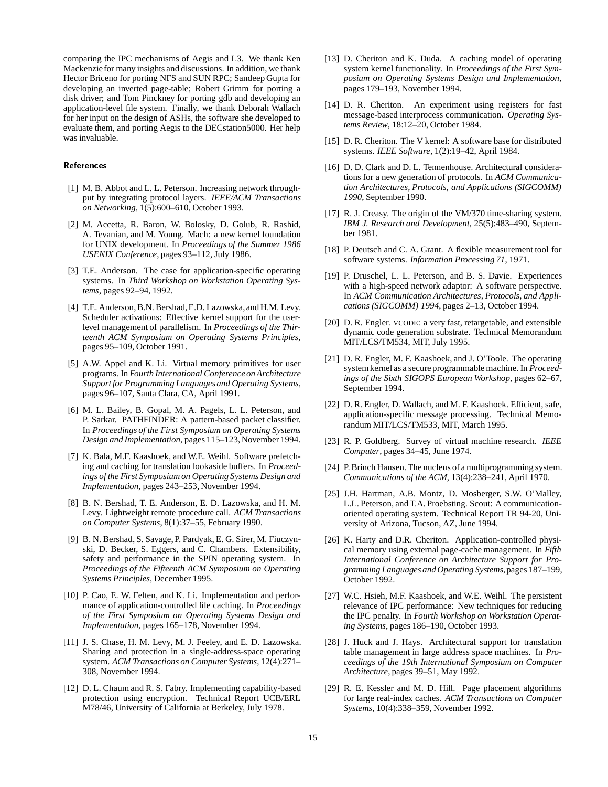comparing the IPC mechanisms of Aegis and L3. We thank Ken Mackenziefor many insights and discussions. In addition, we thank Hector Briceno for porting NFS and SUN RPC; Sandeep Gupta for developing an inverted page-table; Robert Grimm for porting a disk driver; and Tom Pinckney for porting gdb and developing an application-level file system. Finally, we thank Deborah Wallach for her input on the design of ASHs, the software she developed to evaluate them, and porting Aegis to the DECstation5000. Her help was invaluable.

#### - ' ( '

- [1] M. B. Abbot and L. L. Peterson. Increasing network throughput by integrating protocol layers. *IEEE/ACM Transactions on Networking*, 1(5):600–610, October 1993.
- [2] M. Accetta, R. Baron, W. Bolosky, D. Golub, R. Rashid, A. Tevanian, and M. Young. Mach: a new kernel foundation for UNIX development. In *Proceedings of the Summer 1986 USENIX Conference*, pages 93–112, July 1986.
- [3] T.E. Anderson. The case for application-specific operating systems. In *Third Workshop on Workstation Operating Systems*, pages 92–94, 1992.
- [4] T.E. Anderson, B.N. Bershad, E.D. Lazowska, and H.M. Levy. Scheduler activations: Effective kernel support for the userlevel management of parallelism. In *Proceedings of the Thirteenth ACM Symposium on Operating Systems Principles*, pages 95–109, October 1991.
- [5] A.W. Appel and K. Li. Virtual memory primitives for user programs. In *Fourth International Conferenceon Architecture Support for Programming Languagesand Operating Systems*, pages 96–107, Santa Clara, CA, April 1991.
- [6] M. L. Bailey, B. Gopal, M. A. Pagels, L. L. Peterson, and P. Sarkar. PATHFINDER: A pattern-based packet classifier. In *Proceedings of the First Symposium on Operating Systems Design and Implementation*, pages 115–123, November 1994.
- [7] K. Bala, M.F. Kaashoek, and W.E. Weihl. Software prefetching and caching for translation lookaside buffers. In *Proceedings of the First Symposium on Operating Systems Design and Implementation*, pages 243–253, November 1994.
- [8] B. N. Bershad, T. E. Anderson, E. D. Lazowska, and H. M. Levy. Lightweight remote procedure call. *ACM Transactions on Computer Systems*, 8(1):37–55, February 1990.
- [9] B. N. Bershad, S. Savage, P. Pardyak, E. G. Sirer, M. Fiuczynski, D. Becker, S. Eggers, and C. Chambers. Extensibility, safety and performance in the SPIN operating system. In *Proceedings of the Fifteenth ACM Symposium on Operating Systems Principles*, December 1995.
- [10] P. Cao, E. W. Felten, and K. Li. Implementation and performance of application-controlled file caching. In *Proceedings of the First Symposium on Operating Systems Design and Implementation*, pages 165–178, November 1994.
- [11] J. S. Chase, H. M. Levy, M. J. Feeley, and E. D. Lazowska. Sharing and protection in a single-address-space operating system. *ACM Transactions on Computer Systems*, 12(4):271– 308, November 1994.
- [12] D. L. Chaum and R. S. Fabry. Implementing capability-based protection using encryption. Technical Report UCB/ERL M78/46, University of California at Berkeley, July 1978.
- [13] D. Cheriton and K. Duda. A caching model of operating system kernel functionality. In *Proceedings of the First Symposium on Operating Systems Design and Implementation*, pages 179–193, November 1994.
- [14] D. R. Cheriton. An experiment using registers for fast message-based interprocess communication. *Operating Systems Review*, 18:12–20, October 1984.
- [15] D. R. Cheriton. The V kernel: A software base for distributed systems. *IEEE Software*, 1(2):19–42, April 1984.
- [16] D. D. Clark and D. L. Tennenhouse. Architectural considerations for a new generation of protocols. In *ACM Communication Architectures, Protocols, and Applications (SIGCOMM) 1990*, September 1990.
- [17] R. J. Creasy. The origin of the VM/370 time-sharing system. *IBM J. Research and Development*, 25(5):483–490, September 1981.
- [18] P. Deutsch and C. A. Grant. A flexible measurement tool for software systems. *Information Processing 71*, 1971.
- [19] P. Druschel, L. L. Peterson, and B. S. Davie. Experiences with a high-speed network adaptor: A software perspective. In *ACM Communication Architectures, Protocols, and Applications (SIGCOMM) 1994*, pages 2–13, October 1994.
- [20] D. R. Engler. VCODE: a very fast, retargetable, and extensible dynamic code generation substrate. Technical Memorandum MIT/LCS/TM534, MIT, July 1995.
- [21] D. R. Engler, M. F. Kaashoek, and J. O'Toole. The operating systemkernel as a secure programmable machine. In *Proceedings of the Sixth SIGOPS European Workshop*, pages 62–67, September 1994.
- [22] D. R. Engler, D. Wallach, and M. F. Kaashoek. Efficient, safe, application-specific message processing. Technical Memorandum MIT/LCS/TM533, MIT, March 1995.
- [23] R. P. Goldberg. Survey of virtual machine research. *IEEE Computer*, pages 34–45, June 1974.
- [24] P. Brinch Hansen. The nucleus of a multiprogramming system. *Communications of the ACM*, 13(4):238–241, April 1970.
- [25] J.H. Hartman, A.B. Montz, D. Mosberger, S.W. O'Malley, L.L. Peterson, and T.A. Proebsting. Scout: A communicationoriented operating system. Technical Report TR 94-20, University of Arizona, Tucson, AZ, June 1994.
- [26] K. Harty and D.R. Cheriton. Application-controlled physical memory using external page-cache management. In *Fifth International Conference on Architecture Support for Programming Languages andOperating Systems*,pages 187–199, October 1992.
- [27] W.C. Hsieh, M.F. Kaashoek, and W.E. Weihl. The persistent relevance of IPC performance: New techniques for reducing the IPC penalty. In *Fourth Workshop on Workstation Operating Systems*, pages 186–190, October 1993.
- [28] J. Huck and J. Hays. Architectural support for translation table management in large address space machines. In *Proceedings of the 19th International Symposium on Computer Architecture*, pages 39–51, May 1992.
- [29] R. E. Kessler and M. D. Hill. Page placement algorithms for large real-index caches. *ACM Transactions on Computer Systems*, 10(4):338–359, November 1992.